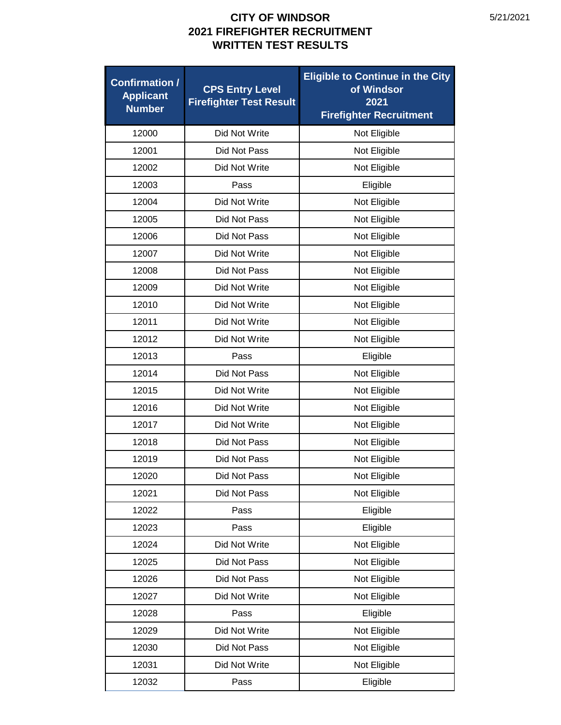| <b>Confirmation /</b><br><b>Applicant</b><br><b>Number</b> | <b>CPS Entry Level</b><br><b>Firefighter Test Result</b> | <b>Eligible to Continue in the City</b><br>of Windsor<br>2021<br><b>Firefighter Recruitment</b> |
|------------------------------------------------------------|----------------------------------------------------------|-------------------------------------------------------------------------------------------------|
| 12000                                                      | Did Not Write                                            | Not Eligible                                                                                    |
| 12001                                                      | Did Not Pass                                             | Not Eligible                                                                                    |
| 12002                                                      | Did Not Write                                            | Not Eligible                                                                                    |
| 12003                                                      | Pass                                                     | Eligible                                                                                        |
| 12004                                                      | Did Not Write                                            | Not Eligible                                                                                    |
| 12005                                                      | Did Not Pass                                             | Not Eligible                                                                                    |
| 12006                                                      | Did Not Pass                                             | Not Eligible                                                                                    |
| 12007                                                      | Did Not Write                                            | Not Eligible                                                                                    |
| 12008                                                      | Did Not Pass                                             | Not Eligible                                                                                    |
| 12009                                                      | Did Not Write                                            | Not Eligible                                                                                    |
| 12010                                                      | Did Not Write                                            | Not Eligible                                                                                    |
| 12011                                                      | Did Not Write                                            | Not Eligible                                                                                    |
| 12012                                                      | Did Not Write                                            | Not Eligible                                                                                    |
| 12013                                                      | Pass                                                     | Eligible                                                                                        |
| 12014                                                      | Did Not Pass                                             | Not Eligible                                                                                    |
| 12015                                                      | Did Not Write                                            | Not Eligible                                                                                    |
| 12016                                                      | Did Not Write                                            | Not Eligible                                                                                    |
| 12017                                                      | Did Not Write                                            | Not Eligible                                                                                    |
| 12018                                                      | Did Not Pass                                             | Not Eligible                                                                                    |
| 12019                                                      | Did Not Pass                                             | Not Eligible                                                                                    |
| 12020                                                      | Did Not Pass                                             | Not Eligible                                                                                    |
| 12021                                                      | Did Not Pass                                             | Not Eligible                                                                                    |
| 12022                                                      | Pass                                                     | Eligible                                                                                        |
| 12023                                                      | Pass                                                     | Eligible                                                                                        |
| 12024                                                      | Did Not Write                                            | Not Eligible                                                                                    |
| 12025                                                      | Did Not Pass                                             | Not Eligible                                                                                    |
| 12026                                                      | Did Not Pass                                             | Not Eligible                                                                                    |
| 12027                                                      | Did Not Write                                            | Not Eligible                                                                                    |
| 12028                                                      | Pass                                                     | Eligible                                                                                        |
| 12029                                                      | Did Not Write                                            | Not Eligible                                                                                    |
| 12030                                                      | Did Not Pass                                             | Not Eligible                                                                                    |
| 12031                                                      | Did Not Write                                            | Not Eligible                                                                                    |
| 12032                                                      | Pass                                                     | Eligible                                                                                        |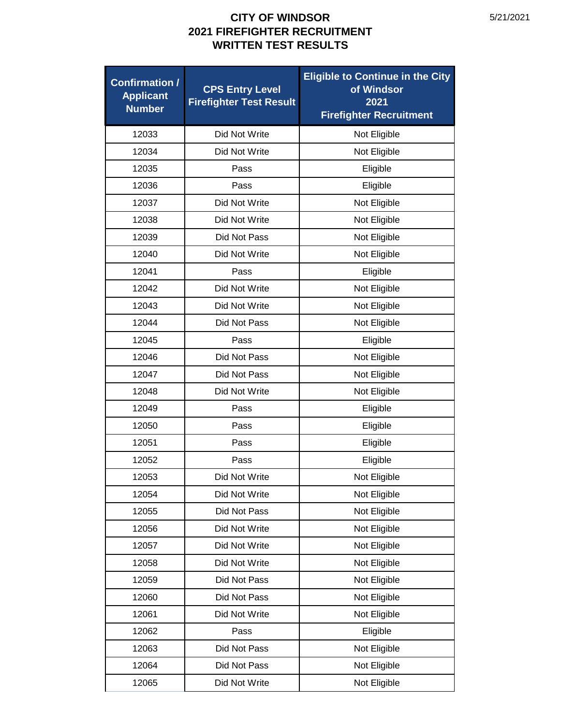| <b>Confirmation /</b><br><b>Applicant</b><br><b>Number</b> | <b>CPS Entry Level</b><br><b>Firefighter Test Result</b> | <b>Eligible to Continue in the City</b><br>of Windsor<br>2021<br><b>Firefighter Recruitment</b> |
|------------------------------------------------------------|----------------------------------------------------------|-------------------------------------------------------------------------------------------------|
| 12033                                                      | Did Not Write                                            | Not Eligible                                                                                    |
| 12034                                                      | Did Not Write                                            | Not Eligible                                                                                    |
| 12035                                                      | Pass                                                     | Eligible                                                                                        |
| 12036                                                      | Pass                                                     | Eligible                                                                                        |
| 12037                                                      | Did Not Write                                            | Not Eligible                                                                                    |
| 12038                                                      | Did Not Write                                            | Not Eligible                                                                                    |
| 12039                                                      | Did Not Pass                                             | Not Eligible                                                                                    |
| 12040                                                      | Did Not Write                                            | Not Eligible                                                                                    |
| 12041                                                      | Pass                                                     | Eligible                                                                                        |
| 12042                                                      | Did Not Write                                            | Not Eligible                                                                                    |
| 12043                                                      | Did Not Write                                            | Not Eligible                                                                                    |
| 12044                                                      | Did Not Pass                                             | Not Eligible                                                                                    |
| 12045                                                      | Pass                                                     | Eligible                                                                                        |
| 12046                                                      | Did Not Pass                                             | Not Eligible                                                                                    |
| 12047                                                      | Did Not Pass                                             | Not Eligible                                                                                    |
| 12048                                                      | Did Not Write                                            | Not Eligible                                                                                    |
| 12049                                                      | Pass                                                     | Eligible                                                                                        |
| 12050                                                      | Pass                                                     | Eligible                                                                                        |
| 12051                                                      | Pass                                                     | Eligible                                                                                        |
| 12052                                                      | Pass                                                     | Eligible                                                                                        |
| 12053                                                      | Did Not Write                                            | Not Eligible                                                                                    |
| 12054                                                      | Did Not Write                                            | Not Eligible                                                                                    |
| 12055                                                      | Did Not Pass                                             | Not Eligible                                                                                    |
| 12056                                                      | Did Not Write                                            | Not Eligible                                                                                    |
| 12057                                                      | Did Not Write                                            | Not Eligible                                                                                    |
| 12058                                                      | Did Not Write                                            | Not Eligible                                                                                    |
| 12059                                                      | Did Not Pass                                             | Not Eligible                                                                                    |
| 12060                                                      | Did Not Pass                                             | Not Eligible                                                                                    |
| 12061                                                      | Did Not Write                                            | Not Eligible                                                                                    |
| 12062                                                      | Pass                                                     | Eligible                                                                                        |
| 12063                                                      | Did Not Pass                                             | Not Eligible                                                                                    |
| 12064                                                      | Did Not Pass                                             | Not Eligible                                                                                    |
| 12065                                                      | Did Not Write                                            | Not Eligible                                                                                    |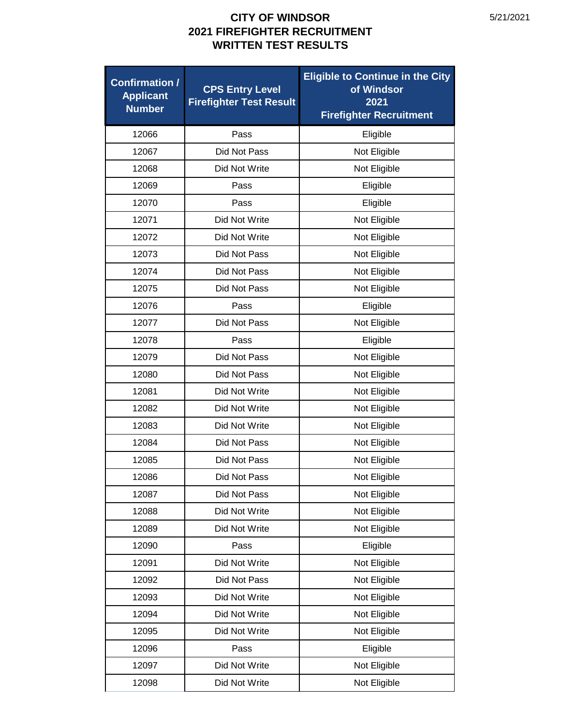| <b>Confirmation /</b><br><b>Applicant</b><br><b>Number</b> | <b>CPS Entry Level</b><br><b>Firefighter Test Result</b> | <b>Eligible to Continue in the City</b><br>of Windsor<br>2021<br><b>Firefighter Recruitment</b> |
|------------------------------------------------------------|----------------------------------------------------------|-------------------------------------------------------------------------------------------------|
| 12066                                                      | Pass                                                     | Eligible                                                                                        |
| 12067                                                      | Did Not Pass                                             | Not Eligible                                                                                    |
| 12068                                                      | Did Not Write                                            | Not Eligible                                                                                    |
| 12069                                                      | Pass                                                     | Eligible                                                                                        |
| 12070                                                      | Pass                                                     | Eligible                                                                                        |
| 12071                                                      | Did Not Write                                            | Not Eligible                                                                                    |
| 12072                                                      | Did Not Write                                            | Not Eligible                                                                                    |
| 12073                                                      | Did Not Pass                                             | Not Eligible                                                                                    |
| 12074                                                      | Did Not Pass                                             | Not Eligible                                                                                    |
| 12075                                                      | Did Not Pass                                             | Not Eligible                                                                                    |
| 12076                                                      | Pass                                                     | Eligible                                                                                        |
| 12077                                                      | Did Not Pass                                             | Not Eligible                                                                                    |
| 12078                                                      | Pass                                                     | Eligible                                                                                        |
| 12079                                                      | Did Not Pass                                             | Not Eligible                                                                                    |
| 12080                                                      | Did Not Pass                                             | Not Eligible                                                                                    |
| 12081                                                      | Did Not Write                                            | Not Eligible                                                                                    |
| 12082                                                      | Did Not Write                                            | Not Eligible                                                                                    |
| 12083                                                      | Did Not Write                                            | Not Eligible                                                                                    |
| 12084                                                      | Did Not Pass                                             | Not Eligible                                                                                    |
| 12085                                                      | Did Not Pass                                             | Not Eligible                                                                                    |
| 12086                                                      | Did Not Pass                                             | Not Eligible                                                                                    |
| 12087                                                      | Did Not Pass                                             | Not Eligible                                                                                    |
| 12088                                                      | Did Not Write                                            | Not Eligible                                                                                    |
| 12089                                                      | Did Not Write                                            | Not Eligible                                                                                    |
| 12090                                                      | Pass                                                     | Eligible                                                                                        |
| 12091                                                      | Did Not Write                                            | Not Eligible                                                                                    |
| 12092                                                      | Did Not Pass                                             | Not Eligible                                                                                    |
| 12093                                                      | Did Not Write                                            | Not Eligible                                                                                    |
| 12094                                                      | Did Not Write                                            | Not Eligible                                                                                    |
| 12095                                                      | Did Not Write                                            | Not Eligible                                                                                    |
| 12096                                                      | Pass                                                     | Eligible                                                                                        |
| 12097                                                      | Did Not Write                                            | Not Eligible                                                                                    |
| 12098                                                      | Did Not Write                                            | Not Eligible                                                                                    |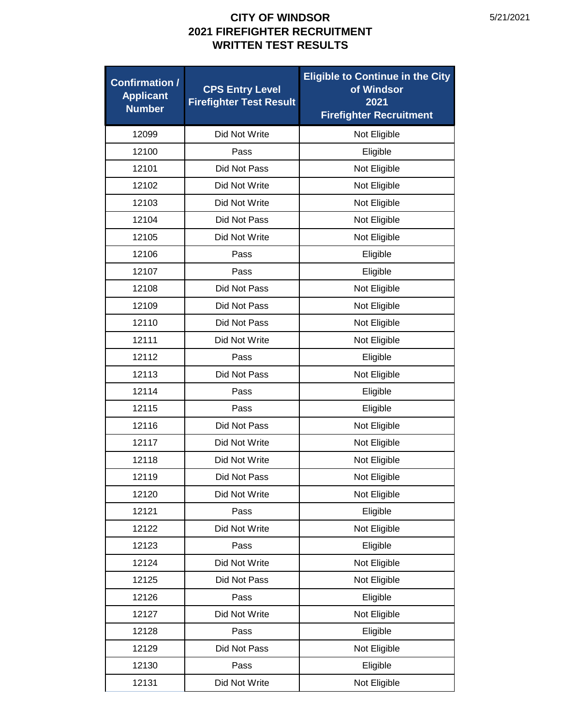| <b>Confirmation /</b><br><b>Applicant</b><br><b>Number</b> | <b>CPS Entry Level</b><br><b>Firefighter Test Result</b> | <b>Eligible to Continue in the City</b><br>of Windsor<br>2021<br><b>Firefighter Recruitment</b> |
|------------------------------------------------------------|----------------------------------------------------------|-------------------------------------------------------------------------------------------------|
| 12099                                                      | Did Not Write                                            | Not Eligible                                                                                    |
| 12100                                                      | Pass                                                     | Eligible                                                                                        |
| 12101                                                      | Did Not Pass                                             | Not Eligible                                                                                    |
| 12102                                                      | Did Not Write                                            | Not Eligible                                                                                    |
| 12103                                                      | Did Not Write                                            | Not Eligible                                                                                    |
| 12104                                                      | Did Not Pass                                             | Not Eligible                                                                                    |
| 12105                                                      | Did Not Write                                            | Not Eligible                                                                                    |
| 12106                                                      | Pass                                                     | Eligible                                                                                        |
| 12107                                                      | Pass                                                     | Eligible                                                                                        |
| 12108                                                      | Did Not Pass                                             | Not Eligible                                                                                    |
| 12109                                                      | Did Not Pass                                             | Not Eligible                                                                                    |
| 12110                                                      | Did Not Pass                                             | Not Eligible                                                                                    |
| 12111                                                      | Did Not Write                                            | Not Eligible                                                                                    |
| 12112                                                      | Pass                                                     | Eligible                                                                                        |
| 12113                                                      | Did Not Pass                                             | Not Eligible                                                                                    |
| 12114                                                      | Pass                                                     | Eligible                                                                                        |
| 12115                                                      | Pass                                                     | Eligible                                                                                        |
| 12116                                                      | Did Not Pass                                             | Not Eligible                                                                                    |
| 12117                                                      | Did Not Write                                            | Not Eligible                                                                                    |
| 12118                                                      | Did Not Write                                            | Not Eligible                                                                                    |
| 12119                                                      | Did Not Pass                                             | Not Eligible                                                                                    |
| 12120                                                      | Did Not Write                                            | Not Eligible                                                                                    |
| 12121                                                      | Pass                                                     | Eligible                                                                                        |
| 12122                                                      | Did Not Write                                            | Not Eligible                                                                                    |
| 12123                                                      | Pass                                                     | Eligible                                                                                        |
| 12124                                                      | Did Not Write                                            | Not Eligible                                                                                    |
| 12125                                                      | Did Not Pass                                             | Not Eligible                                                                                    |
| 12126                                                      | Pass                                                     | Eligible                                                                                        |
| 12127                                                      | Did Not Write                                            | Not Eligible                                                                                    |
| 12128                                                      | Pass                                                     | Eligible                                                                                        |
| 12129                                                      | Did Not Pass                                             | Not Eligible                                                                                    |
| 12130                                                      | Pass                                                     | Eligible                                                                                        |
| 12131                                                      | Did Not Write                                            | Not Eligible                                                                                    |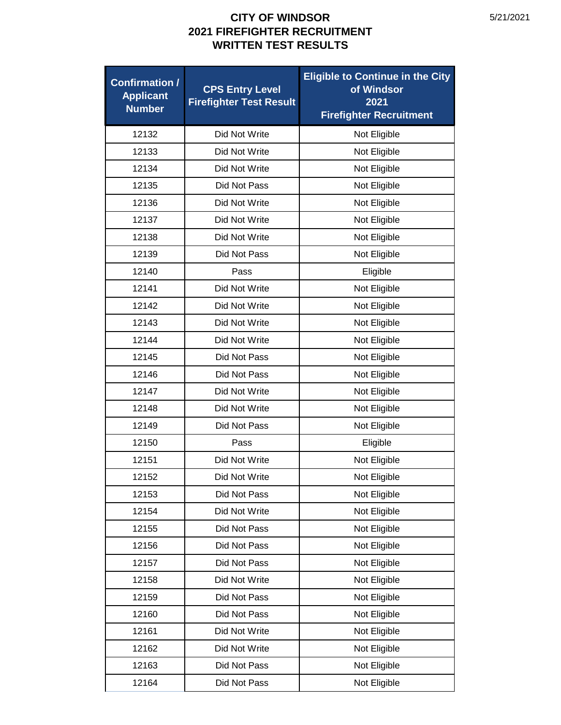| <b>Confirmation /</b><br><b>Applicant</b><br><b>Number</b> | <b>CPS Entry Level</b><br><b>Firefighter Test Result</b> | <b>Eligible to Continue in the City</b><br>of Windsor<br>2021<br><b>Firefighter Recruitment</b> |
|------------------------------------------------------------|----------------------------------------------------------|-------------------------------------------------------------------------------------------------|
| 12132                                                      | Did Not Write                                            | Not Eligible                                                                                    |
| 12133                                                      | Did Not Write                                            | Not Eligible                                                                                    |
| 12134                                                      | Did Not Write                                            | Not Eligible                                                                                    |
| 12135                                                      | <b>Did Not Pass</b>                                      | Not Eligible                                                                                    |
| 12136                                                      | Did Not Write                                            | Not Eligible                                                                                    |
| 12137                                                      | Did Not Write                                            | Not Eligible                                                                                    |
| 12138                                                      | Did Not Write                                            | Not Eligible                                                                                    |
| 12139                                                      | Did Not Pass                                             | Not Eligible                                                                                    |
| 12140                                                      | Pass                                                     | Eligible                                                                                        |
| 12141                                                      | Did Not Write                                            | Not Eligible                                                                                    |
| 12142                                                      | Did Not Write                                            | Not Eligible                                                                                    |
| 12143                                                      | Did Not Write                                            | Not Eligible                                                                                    |
| 12144                                                      | Did Not Write                                            | Not Eligible                                                                                    |
| 12145                                                      | Did Not Pass                                             | Not Eligible                                                                                    |
| 12146                                                      | Did Not Pass                                             | Not Eligible                                                                                    |
| 12147                                                      | Did Not Write                                            | Not Eligible                                                                                    |
| 12148                                                      | Did Not Write                                            | Not Eligible                                                                                    |
| 12149                                                      | Did Not Pass                                             | Not Eligible                                                                                    |
| 12150                                                      | Pass                                                     | Eligible                                                                                        |
| 12151                                                      | Did Not Write                                            | Not Eligible                                                                                    |
| 12152                                                      | Did Not Write                                            | Not Eligible                                                                                    |
| 12153                                                      | Did Not Pass                                             | Not Eligible                                                                                    |
| 12154                                                      | Did Not Write                                            | Not Eligible                                                                                    |
| 12155                                                      | Did Not Pass                                             | Not Eligible                                                                                    |
| 12156                                                      | Did Not Pass                                             | Not Eligible                                                                                    |
| 12157                                                      | Did Not Pass                                             | Not Eligible                                                                                    |
| 12158                                                      | Did Not Write                                            | Not Eligible                                                                                    |
| 12159                                                      | Did Not Pass                                             | Not Eligible                                                                                    |
| 12160                                                      | Did Not Pass                                             | Not Eligible                                                                                    |
| 12161                                                      | Did Not Write                                            | Not Eligible                                                                                    |
| 12162                                                      | Did Not Write                                            | Not Eligible                                                                                    |
| 12163                                                      | Did Not Pass                                             | Not Eligible                                                                                    |
| 12164                                                      | Did Not Pass                                             | Not Eligible                                                                                    |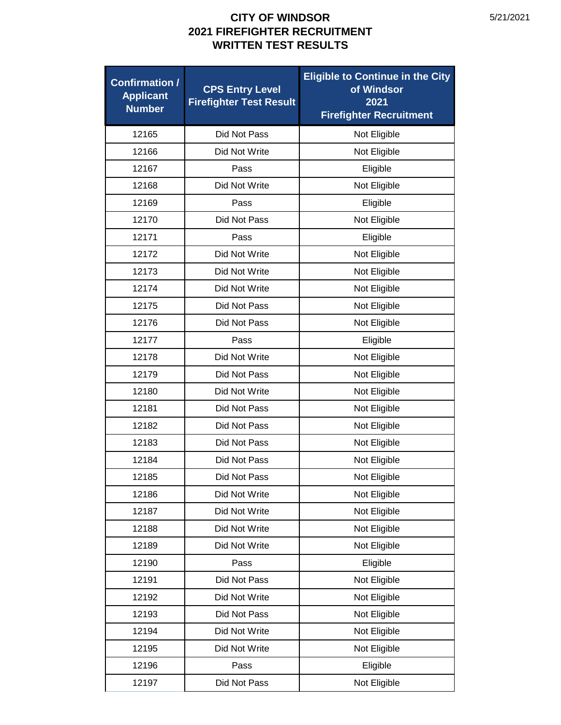| <b>Confirmation /</b><br><b>Applicant</b><br><b>Number</b> | <b>CPS Entry Level</b><br><b>Firefighter Test Result</b> | <b>Eligible to Continue in the City</b><br>of Windsor<br>2021<br><b>Firefighter Recruitment</b> |
|------------------------------------------------------------|----------------------------------------------------------|-------------------------------------------------------------------------------------------------|
| 12165                                                      | Did Not Pass                                             | Not Eligible                                                                                    |
| 12166                                                      | Did Not Write                                            | Not Eligible                                                                                    |
| 12167                                                      | Pass                                                     | Eligible                                                                                        |
| 12168                                                      | Did Not Write                                            | Not Eligible                                                                                    |
| 12169                                                      | Pass                                                     | Eligible                                                                                        |
| 12170                                                      | Did Not Pass                                             | Not Eligible                                                                                    |
| 12171                                                      | Pass                                                     | Eligible                                                                                        |
| 12172                                                      | Did Not Write                                            | Not Eligible                                                                                    |
| 12173                                                      | Did Not Write                                            | Not Eligible                                                                                    |
| 12174                                                      | Did Not Write                                            | Not Eligible                                                                                    |
| 12175                                                      | Did Not Pass                                             | Not Eligible                                                                                    |
| 12176                                                      | Did Not Pass                                             | Not Eligible                                                                                    |
| 12177                                                      | Pass                                                     | Eligible                                                                                        |
| 12178                                                      | Did Not Write                                            | Not Eligible                                                                                    |
| 12179                                                      | Did Not Pass                                             | Not Eligible                                                                                    |
| 12180                                                      | Did Not Write                                            | Not Eligible                                                                                    |
| 12181                                                      | Did Not Pass                                             | Not Eligible                                                                                    |
| 12182                                                      | Did Not Pass                                             | Not Eligible                                                                                    |
| 12183                                                      | Did Not Pass                                             | Not Eligible                                                                                    |
| 12184                                                      | Did Not Pass                                             | Not Eligible                                                                                    |
| 12185                                                      | Did Not Pass                                             | Not Eligible                                                                                    |
| 12186                                                      | Did Not Write                                            | Not Eligible                                                                                    |
| 12187                                                      | Did Not Write                                            | Not Eligible                                                                                    |
| 12188                                                      | Did Not Write                                            | Not Eligible                                                                                    |
| 12189                                                      | Did Not Write                                            | Not Eligible                                                                                    |
| 12190                                                      | Pass                                                     | Eligible                                                                                        |
| 12191                                                      | Did Not Pass                                             | Not Eligible                                                                                    |
| 12192                                                      | Did Not Write                                            | Not Eligible                                                                                    |
| 12193                                                      | Did Not Pass                                             | Not Eligible                                                                                    |
| 12194                                                      | Did Not Write                                            | Not Eligible                                                                                    |
| 12195                                                      | Did Not Write                                            | Not Eligible                                                                                    |
| 12196                                                      | Pass                                                     | Eligible                                                                                        |
| 12197                                                      | Did Not Pass                                             | Not Eligible                                                                                    |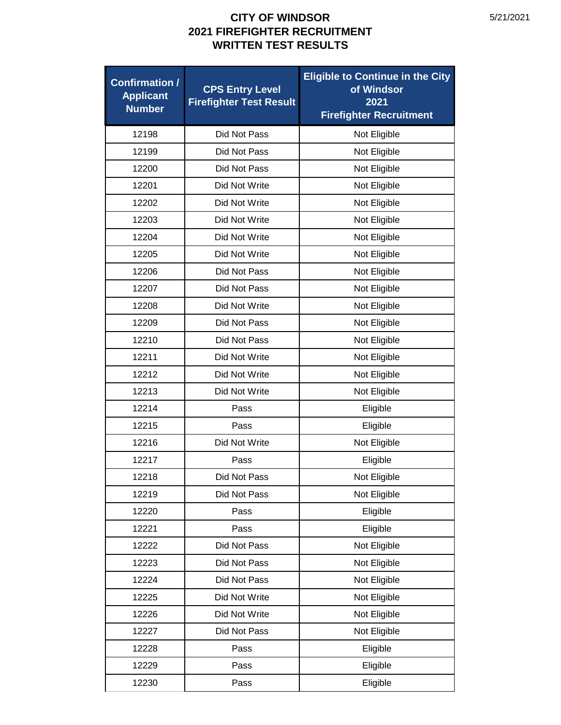| <b>Confirmation /</b><br><b>Applicant</b><br><b>Number</b> | <b>CPS Entry Level</b><br><b>Firefighter Test Result</b> | <b>Eligible to Continue in the City</b><br>of Windsor<br>2021<br><b>Firefighter Recruitment</b> |
|------------------------------------------------------------|----------------------------------------------------------|-------------------------------------------------------------------------------------------------|
| 12198                                                      | Did Not Pass                                             | Not Eligible                                                                                    |
| 12199                                                      | Did Not Pass                                             | Not Eligible                                                                                    |
| 12200                                                      | Did Not Pass                                             | Not Eligible                                                                                    |
| 12201                                                      | Did Not Write                                            | Not Eligible                                                                                    |
| 12202                                                      | Did Not Write                                            | Not Eligible                                                                                    |
| 12203                                                      | Did Not Write                                            | Not Eligible                                                                                    |
| 12204                                                      | Did Not Write                                            | Not Eligible                                                                                    |
| 12205                                                      | Did Not Write                                            | Not Eligible                                                                                    |
| 12206                                                      | Did Not Pass                                             | Not Eligible                                                                                    |
| 12207                                                      | Did Not Pass                                             | Not Eligible                                                                                    |
| 12208                                                      | Did Not Write                                            | Not Eligible                                                                                    |
| 12209                                                      | Did Not Pass                                             | Not Eligible                                                                                    |
| 12210                                                      | Did Not Pass                                             | Not Eligible                                                                                    |
| 12211                                                      | Did Not Write                                            | Not Eligible                                                                                    |
| 12212                                                      | Did Not Write                                            | Not Eligible                                                                                    |
| 12213                                                      | Did Not Write                                            | Not Eligible                                                                                    |
| 12214                                                      | Pass                                                     | Eligible                                                                                        |
| 12215                                                      | Pass                                                     | Eligible                                                                                        |
| 12216                                                      | Did Not Write                                            | Not Eligible                                                                                    |
| 12217                                                      | Pass                                                     | Eligible                                                                                        |
| 12218                                                      | Did Not Pass                                             | Not Eligible                                                                                    |
| 12219                                                      | Did Not Pass                                             | Not Eligible                                                                                    |
| 12220                                                      | Pass                                                     | Eligible                                                                                        |
| 12221                                                      | Pass                                                     | Eligible                                                                                        |
| 12222                                                      | Did Not Pass                                             | Not Eligible                                                                                    |
| 12223                                                      | Did Not Pass                                             | Not Eligible                                                                                    |
| 12224                                                      | Did Not Pass                                             | Not Eligible                                                                                    |
| 12225                                                      | Did Not Write                                            | Not Eligible                                                                                    |
| 12226                                                      | Did Not Write                                            | Not Eligible                                                                                    |
| 12227                                                      | Did Not Pass                                             | Not Eligible                                                                                    |
| 12228                                                      | Pass                                                     | Eligible                                                                                        |
| 12229                                                      | Pass                                                     | Eligible                                                                                        |
| 12230                                                      | Pass                                                     | Eligible                                                                                        |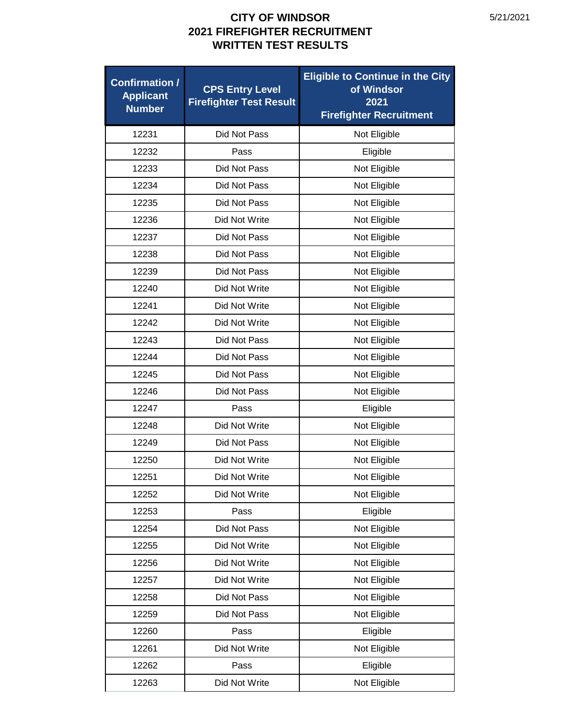| <b>Confirmation /</b><br><b>Applicant</b><br><b>Number</b> | <b>CPS Entry Level</b><br><b>Firefighter Test Result</b> | <b>Eligible to Continue in the City</b><br>of Windsor<br>2021<br><b>Firefighter Recruitment</b> |
|------------------------------------------------------------|----------------------------------------------------------|-------------------------------------------------------------------------------------------------|
| 12231                                                      | Did Not Pass                                             | Not Eligible                                                                                    |
| 12232                                                      | Pass                                                     | Eligible                                                                                        |
| 12233                                                      | Did Not Pass                                             | Not Eligible                                                                                    |
| 12234                                                      | Did Not Pass                                             | Not Eligible                                                                                    |
| 12235                                                      | Did Not Pass                                             | Not Eligible                                                                                    |
| 12236                                                      | Did Not Write                                            | Not Eligible                                                                                    |
| 12237                                                      | Did Not Pass                                             | Not Eligible                                                                                    |
| 12238                                                      | Did Not Pass                                             | Not Eligible                                                                                    |
| 12239                                                      | Did Not Pass                                             | Not Eligible                                                                                    |
| 12240                                                      | Did Not Write                                            | Not Eligible                                                                                    |
| 12241                                                      | Did Not Write                                            | Not Eligible                                                                                    |
| 12242                                                      | Did Not Write                                            | Not Eligible                                                                                    |
| 12243                                                      | Did Not Pass                                             | Not Eligible                                                                                    |
| 12244                                                      | Did Not Pass                                             | Not Eligible                                                                                    |
| 12245                                                      | Did Not Pass                                             | Not Eligible                                                                                    |
| 12246                                                      | Did Not Pass                                             | Not Eligible                                                                                    |
| 12247                                                      | Pass                                                     | Eligible                                                                                        |
| 12248                                                      | Did Not Write                                            | Not Eligible                                                                                    |
| 12249                                                      | Did Not Pass                                             | Not Eligible                                                                                    |
| 12250                                                      | Did Not Write                                            | Not Eligible                                                                                    |
| 12251                                                      | Did Not Write                                            | Not Eligible                                                                                    |
| 12252                                                      | Did Not Write                                            | Not Eligible                                                                                    |
| 12253                                                      | Pass                                                     | Eligible                                                                                        |
| 12254                                                      | Did Not Pass                                             | Not Eligible                                                                                    |
| 12255                                                      | Did Not Write                                            | Not Eligible                                                                                    |
| 12256                                                      | Did Not Write                                            | Not Eligible                                                                                    |
| 12257                                                      | Did Not Write                                            | Not Eligible                                                                                    |
| 12258                                                      | Did Not Pass                                             | Not Eligible                                                                                    |
| 12259                                                      | Did Not Pass                                             | Not Eligible                                                                                    |
| 12260                                                      | Pass                                                     | Eligible                                                                                        |
| 12261                                                      | Did Not Write                                            | Not Eligible                                                                                    |
| 12262                                                      | Pass                                                     | Eligible                                                                                        |
| 12263                                                      | Did Not Write                                            | Not Eligible                                                                                    |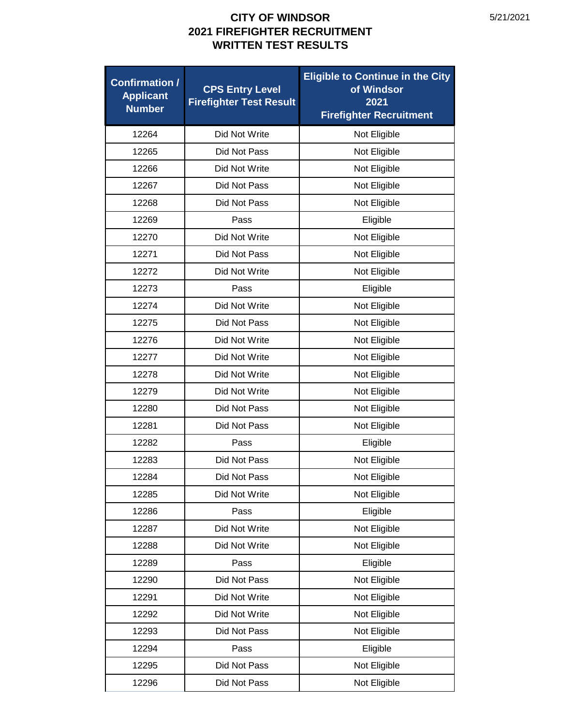| <b>Confirmation /</b><br><b>Applicant</b><br><b>Number</b> | <b>CPS Entry Level</b><br><b>Firefighter Test Result</b> | <b>Eligible to Continue in the City</b><br>of Windsor<br>2021<br><b>Firefighter Recruitment</b> |
|------------------------------------------------------------|----------------------------------------------------------|-------------------------------------------------------------------------------------------------|
| 12264                                                      | Did Not Write                                            | Not Eligible                                                                                    |
| 12265                                                      | Did Not Pass                                             | Not Eligible                                                                                    |
| 12266                                                      | Did Not Write                                            | Not Eligible                                                                                    |
| 12267                                                      | Did Not Pass                                             | Not Eligible                                                                                    |
| 12268                                                      | Did Not Pass                                             | Not Eligible                                                                                    |
| 12269                                                      | Pass                                                     | Eligible                                                                                        |
| 12270                                                      | Did Not Write                                            | Not Eligible                                                                                    |
| 12271                                                      | Did Not Pass                                             | Not Eligible                                                                                    |
| 12272                                                      | Did Not Write                                            | Not Eligible                                                                                    |
| 12273                                                      | Pass                                                     | Eligible                                                                                        |
| 12274                                                      | Did Not Write                                            | Not Eligible                                                                                    |
| 12275                                                      | Did Not Pass                                             | Not Eligible                                                                                    |
| 12276                                                      | Did Not Write                                            | Not Eligible                                                                                    |
| 12277                                                      | Did Not Write                                            | Not Eligible                                                                                    |
| 12278                                                      | Did Not Write                                            | Not Eligible                                                                                    |
| 12279                                                      | Did Not Write                                            | Not Eligible                                                                                    |
| 12280                                                      | Did Not Pass                                             | Not Eligible                                                                                    |
| 12281                                                      | Did Not Pass                                             | Not Eligible                                                                                    |
| 12282                                                      | Pass                                                     | Eligible                                                                                        |
| 12283                                                      | Did Not Pass                                             | Not Eligible                                                                                    |
| 12284                                                      | Did Not Pass                                             | Not Eligible                                                                                    |
| 12285                                                      | Did Not Write                                            | Not Eligible                                                                                    |
| 12286                                                      | Pass                                                     | Eligible                                                                                        |
| 12287                                                      | Did Not Write                                            | Not Eligible                                                                                    |
| 12288                                                      | Did Not Write                                            | Not Eligible                                                                                    |
| 12289                                                      | Pass                                                     | Eligible                                                                                        |
| 12290                                                      | Did Not Pass                                             | Not Eligible                                                                                    |
| 12291                                                      | Did Not Write                                            | Not Eligible                                                                                    |
| 12292                                                      | Did Not Write                                            | Not Eligible                                                                                    |
| 12293                                                      | Did Not Pass                                             | Not Eligible                                                                                    |
| 12294                                                      | Pass                                                     | Eligible                                                                                        |
| 12295                                                      | Did Not Pass                                             | Not Eligible                                                                                    |
| 12296                                                      | Did Not Pass                                             | Not Eligible                                                                                    |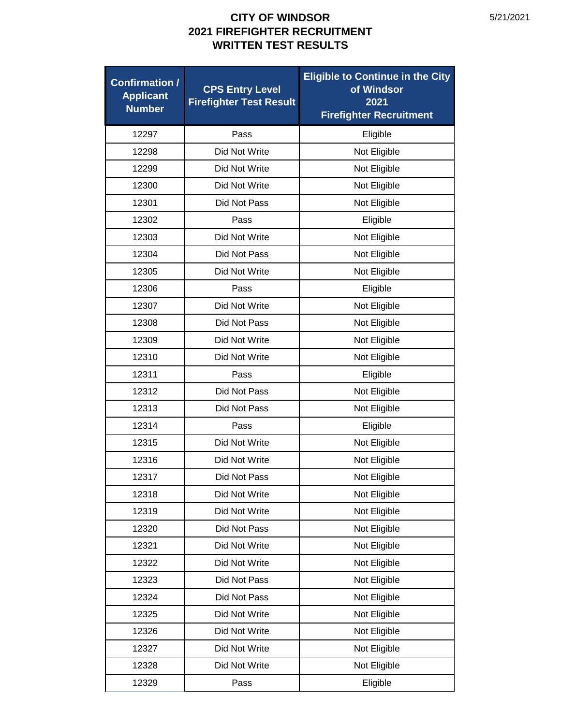| <b>Confirmation /</b><br><b>Applicant</b><br><b>Number</b> | <b>CPS Entry Level</b><br><b>Firefighter Test Result</b> | <b>Eligible to Continue in the City</b><br>of Windsor<br>2021<br><b>Firefighter Recruitment</b> |
|------------------------------------------------------------|----------------------------------------------------------|-------------------------------------------------------------------------------------------------|
| 12297                                                      | Pass                                                     | Eligible                                                                                        |
| 12298                                                      | Did Not Write                                            | Not Eligible                                                                                    |
| 12299                                                      | Did Not Write                                            | Not Eligible                                                                                    |
| 12300                                                      | Did Not Write                                            | Not Eligible                                                                                    |
| 12301                                                      | Did Not Pass                                             | Not Eligible                                                                                    |
| 12302                                                      | Pass                                                     | Eligible                                                                                        |
| 12303                                                      | Did Not Write                                            | Not Eligible                                                                                    |
| 12304                                                      | Did Not Pass                                             | Not Eligible                                                                                    |
| 12305                                                      | Did Not Write                                            | Not Eligible                                                                                    |
| 12306                                                      | Pass                                                     | Eligible                                                                                        |
| 12307                                                      | Did Not Write                                            | Not Eligible                                                                                    |
| 12308                                                      | Did Not Pass                                             | Not Eligible                                                                                    |
| 12309                                                      | Did Not Write                                            | Not Eligible                                                                                    |
| 12310                                                      | Did Not Write                                            | Not Eligible                                                                                    |
| 12311                                                      | Pass                                                     | Eligible                                                                                        |
| 12312                                                      | Did Not Pass                                             | Not Eligible                                                                                    |
| 12313                                                      | Did Not Pass                                             | Not Eligible                                                                                    |
| 12314                                                      | Pass                                                     | Eligible                                                                                        |
| 12315                                                      | Did Not Write                                            | Not Eligible                                                                                    |
| 12316                                                      | Did Not Write                                            | Not Eligible                                                                                    |
| 12317                                                      | Did Not Pass                                             | Not Eligible                                                                                    |
| 12318                                                      | Did Not Write                                            | Not Eligible                                                                                    |
| 12319                                                      | Did Not Write                                            | Not Eligible                                                                                    |
| 12320                                                      | Did Not Pass                                             | Not Eligible                                                                                    |
| 12321                                                      | Did Not Write                                            | Not Eligible                                                                                    |
| 12322                                                      | Did Not Write                                            | Not Eligible                                                                                    |
| 12323                                                      | Did Not Pass                                             | Not Eligible                                                                                    |
| 12324                                                      | Did Not Pass                                             | Not Eligible                                                                                    |
| 12325                                                      | Did Not Write                                            | Not Eligible                                                                                    |
| 12326                                                      | Did Not Write                                            | Not Eligible                                                                                    |
| 12327                                                      | Did Not Write                                            | Not Eligible                                                                                    |
| 12328                                                      | Did Not Write                                            | Not Eligible                                                                                    |
| 12329                                                      | Pass                                                     | Eligible                                                                                        |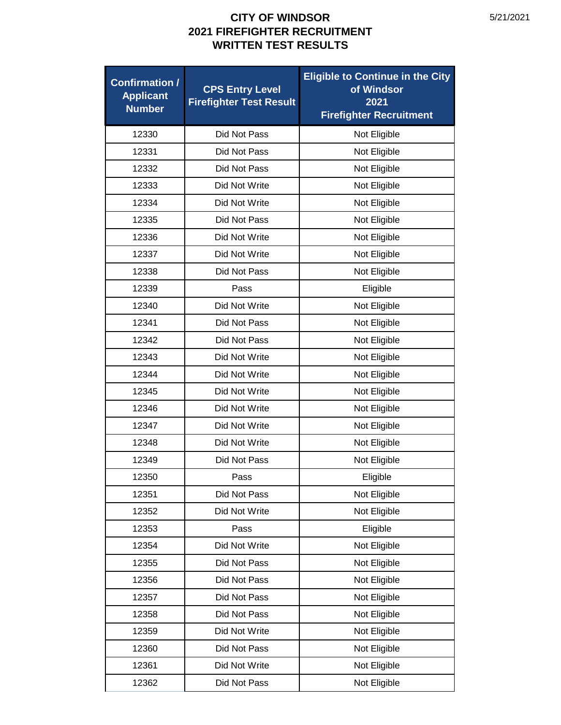| <b>Confirmation /</b><br><b>Applicant</b><br><b>Number</b> | <b>CPS Entry Level</b><br><b>Firefighter Test Result</b> | <b>Eligible to Continue in the City</b><br>of Windsor<br>2021<br><b>Firefighter Recruitment</b> |
|------------------------------------------------------------|----------------------------------------------------------|-------------------------------------------------------------------------------------------------|
| 12330                                                      | Did Not Pass                                             | Not Eligible                                                                                    |
| 12331                                                      | Did Not Pass                                             | Not Eligible                                                                                    |
| 12332                                                      | Did Not Pass                                             | Not Eligible                                                                                    |
| 12333                                                      | Did Not Write                                            | Not Eligible                                                                                    |
| 12334                                                      | Did Not Write                                            | Not Eligible                                                                                    |
| 12335                                                      | Did Not Pass                                             | Not Eligible                                                                                    |
| 12336                                                      | Did Not Write                                            | Not Eligible                                                                                    |
| 12337                                                      | Did Not Write                                            | Not Eligible                                                                                    |
| 12338                                                      | Did Not Pass                                             | Not Eligible                                                                                    |
| 12339                                                      | Pass                                                     | Eligible                                                                                        |
| 12340                                                      | Did Not Write                                            | Not Eligible                                                                                    |
| 12341                                                      | Did Not Pass                                             | Not Eligible                                                                                    |
| 12342                                                      | Did Not Pass                                             | Not Eligible                                                                                    |
| 12343                                                      | Did Not Write                                            | Not Eligible                                                                                    |
| 12344                                                      | Did Not Write                                            | Not Eligible                                                                                    |
| 12345                                                      | Did Not Write                                            | Not Eligible                                                                                    |
| 12346                                                      | Did Not Write                                            | Not Eligible                                                                                    |
| 12347                                                      | Did Not Write                                            | Not Eligible                                                                                    |
| 12348                                                      | Did Not Write                                            | Not Eligible                                                                                    |
| 12349                                                      | Did Not Pass                                             | Not Eligible                                                                                    |
| 12350                                                      | Pass                                                     | Eligible                                                                                        |
| 12351                                                      | Did Not Pass                                             | Not Eligible                                                                                    |
| 12352                                                      | Did Not Write                                            | Not Eligible                                                                                    |
| 12353                                                      | Pass                                                     | Eligible                                                                                        |
| 12354                                                      | Did Not Write                                            | Not Eligible                                                                                    |
| 12355                                                      | Did Not Pass                                             | Not Eligible                                                                                    |
| 12356                                                      | Did Not Pass                                             | Not Eligible                                                                                    |
| 12357                                                      | Did Not Pass                                             | Not Eligible                                                                                    |
| 12358                                                      | Did Not Pass                                             | Not Eligible                                                                                    |
| 12359                                                      | Did Not Write                                            | Not Eligible                                                                                    |
| 12360                                                      | Did Not Pass                                             | Not Eligible                                                                                    |
| 12361                                                      | Did Not Write                                            | Not Eligible                                                                                    |
| 12362                                                      | Did Not Pass                                             | Not Eligible                                                                                    |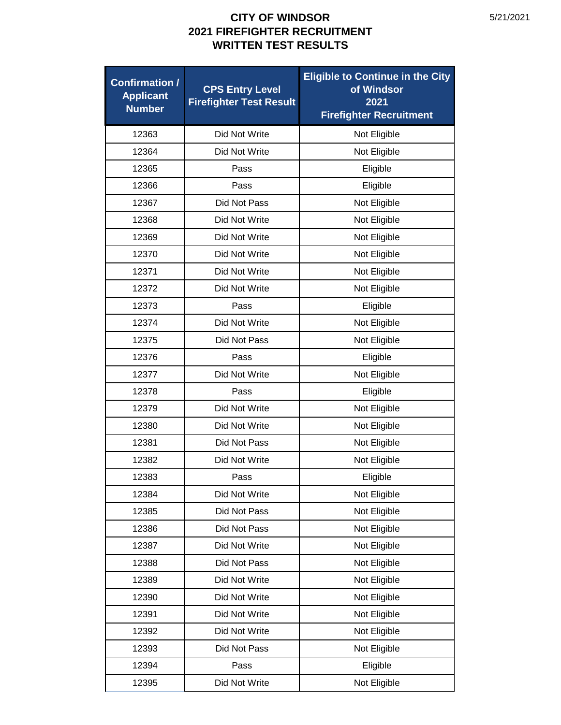| <b>Confirmation /</b><br><b>Applicant</b><br><b>Number</b> | <b>CPS Entry Level</b><br><b>Firefighter Test Result</b> | <b>Eligible to Continue in the City</b><br>of Windsor<br>2021<br><b>Firefighter Recruitment</b> |
|------------------------------------------------------------|----------------------------------------------------------|-------------------------------------------------------------------------------------------------|
| 12363                                                      | Did Not Write                                            | Not Eligible                                                                                    |
| 12364                                                      | Did Not Write                                            | Not Eligible                                                                                    |
| 12365                                                      | Pass                                                     | Eligible                                                                                        |
| 12366                                                      | Pass                                                     | Eligible                                                                                        |
| 12367                                                      | Did Not Pass                                             | Not Eligible                                                                                    |
| 12368                                                      | Did Not Write                                            | Not Eligible                                                                                    |
| 12369                                                      | Did Not Write                                            | Not Eligible                                                                                    |
| 12370                                                      | Did Not Write                                            | Not Eligible                                                                                    |
| 12371                                                      | Did Not Write                                            | Not Eligible                                                                                    |
| 12372                                                      | Did Not Write                                            | Not Eligible                                                                                    |
| 12373                                                      | Pass                                                     | Eligible                                                                                        |
| 12374                                                      | Did Not Write                                            | Not Eligible                                                                                    |
| 12375                                                      | Did Not Pass                                             | Not Eligible                                                                                    |
| 12376                                                      | Pass                                                     | Eligible                                                                                        |
| 12377                                                      | Did Not Write                                            | Not Eligible                                                                                    |
| 12378                                                      | Pass                                                     | Eligible                                                                                        |
| 12379                                                      | Did Not Write                                            | Not Eligible                                                                                    |
| 12380                                                      | Did Not Write                                            | Not Eligible                                                                                    |
| 12381                                                      | Did Not Pass                                             | Not Eligible                                                                                    |
| 12382                                                      | Did Not Write                                            | Not Eligible                                                                                    |
| 12383                                                      | Pass                                                     | Eligible                                                                                        |
| 12384                                                      | Did Not Write                                            | Not Eligible                                                                                    |
| 12385                                                      | Did Not Pass                                             | Not Eligible                                                                                    |
| 12386                                                      | Did Not Pass                                             | Not Eligible                                                                                    |
| 12387                                                      | Did Not Write                                            | Not Eligible                                                                                    |
| 12388                                                      | Did Not Pass                                             | Not Eligible                                                                                    |
| 12389                                                      | Did Not Write                                            | Not Eligible                                                                                    |
| 12390                                                      | Did Not Write                                            | Not Eligible                                                                                    |
| 12391                                                      | Did Not Write                                            | Not Eligible                                                                                    |
| 12392                                                      | Did Not Write                                            | Not Eligible                                                                                    |
| 12393                                                      | Did Not Pass                                             | Not Eligible                                                                                    |
| 12394                                                      | Pass                                                     | Eligible                                                                                        |
| 12395                                                      | Did Not Write                                            | Not Eligible                                                                                    |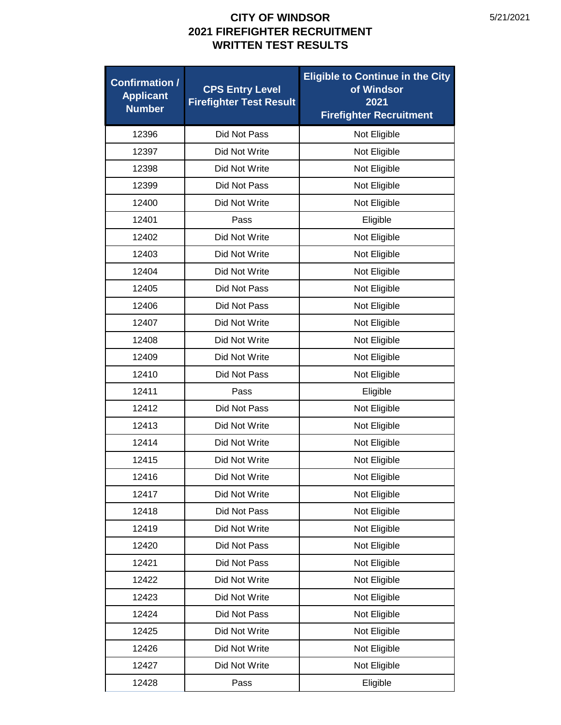| <b>Confirmation /</b><br><b>Applicant</b><br><b>Number</b> | <b>CPS Entry Level</b><br><b>Firefighter Test Result</b> | <b>Eligible to Continue in the City</b><br>of Windsor<br>2021<br><b>Firefighter Recruitment</b> |
|------------------------------------------------------------|----------------------------------------------------------|-------------------------------------------------------------------------------------------------|
| 12396                                                      | Did Not Pass                                             | Not Eligible                                                                                    |
| 12397                                                      | Did Not Write                                            | Not Eligible                                                                                    |
| 12398                                                      | Did Not Write                                            | Not Eligible                                                                                    |
| 12399                                                      | Did Not Pass                                             | Not Eligible                                                                                    |
| 12400                                                      | Did Not Write                                            | Not Eligible                                                                                    |
| 12401                                                      | Pass                                                     | Eligible                                                                                        |
| 12402                                                      | Did Not Write                                            | Not Eligible                                                                                    |
| 12403                                                      | Did Not Write                                            | Not Eligible                                                                                    |
| 12404                                                      | Did Not Write                                            | Not Eligible                                                                                    |
| 12405                                                      | Did Not Pass                                             | Not Eligible                                                                                    |
| 12406                                                      | Did Not Pass                                             | Not Eligible                                                                                    |
| 12407                                                      | Did Not Write                                            | Not Eligible                                                                                    |
| 12408                                                      | Did Not Write                                            | Not Eligible                                                                                    |
| 12409                                                      | Did Not Write                                            | Not Eligible                                                                                    |
| 12410                                                      | Did Not Pass                                             | Not Eligible                                                                                    |
| 12411                                                      | Pass                                                     | Eligible                                                                                        |
| 12412                                                      | Did Not Pass                                             | Not Eligible                                                                                    |
| 12413                                                      | Did Not Write                                            | Not Eligible                                                                                    |
| 12414                                                      | Did Not Write                                            | Not Eligible                                                                                    |
| 12415                                                      | Did Not Write                                            | Not Eligible                                                                                    |
| 12416                                                      | Did Not Write                                            | Not Eligible                                                                                    |
| 12417                                                      | Did Not Write                                            | Not Eligible                                                                                    |
| 12418                                                      | Did Not Pass                                             | Not Eligible                                                                                    |
| 12419                                                      | Did Not Write                                            | Not Eligible                                                                                    |
| 12420                                                      | Did Not Pass                                             | Not Eligible                                                                                    |
| 12421                                                      | Did Not Pass                                             | Not Eligible                                                                                    |
| 12422                                                      | Did Not Write                                            | Not Eligible                                                                                    |
| 12423                                                      | Did Not Write                                            | Not Eligible                                                                                    |
| 12424                                                      | Did Not Pass                                             | Not Eligible                                                                                    |
| 12425                                                      | Did Not Write                                            | Not Eligible                                                                                    |
| 12426                                                      | Did Not Write                                            | Not Eligible                                                                                    |
| 12427                                                      | Did Not Write                                            | Not Eligible                                                                                    |
| 12428                                                      | Pass                                                     | Eligible                                                                                        |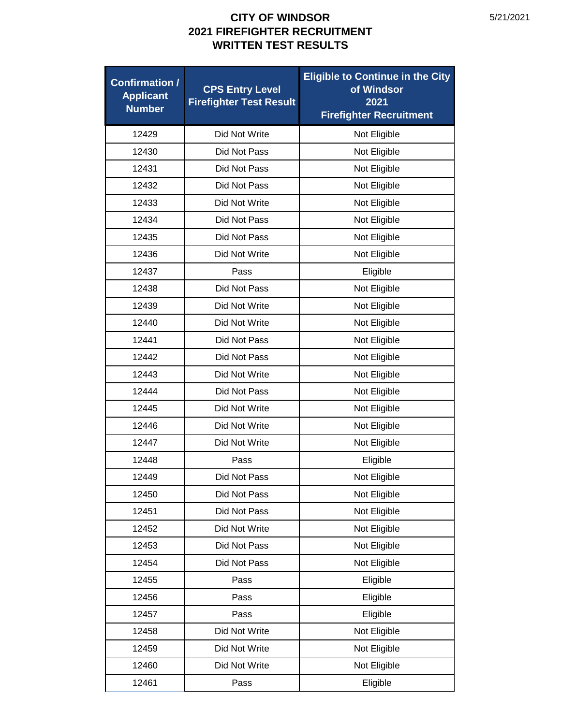| <b>Confirmation /</b><br><b>Applicant</b><br><b>Number</b> | <b>CPS Entry Level</b><br><b>Firefighter Test Result</b> | <b>Eligible to Continue in the City</b><br>of Windsor<br>2021<br><b>Firefighter Recruitment</b> |
|------------------------------------------------------------|----------------------------------------------------------|-------------------------------------------------------------------------------------------------|
| 12429                                                      | Did Not Write                                            | Not Eligible                                                                                    |
| 12430                                                      | Did Not Pass                                             | Not Eligible                                                                                    |
| 12431                                                      | Did Not Pass                                             | Not Eligible                                                                                    |
| 12432                                                      | Did Not Pass                                             | Not Eligible                                                                                    |
| 12433                                                      | Did Not Write                                            | Not Eligible                                                                                    |
| 12434                                                      | Did Not Pass                                             | Not Eligible                                                                                    |
| 12435                                                      | Did Not Pass                                             | Not Eligible                                                                                    |
| 12436                                                      | Did Not Write                                            | Not Eligible                                                                                    |
| 12437                                                      | Pass                                                     | Eligible                                                                                        |
| 12438                                                      | Did Not Pass                                             | Not Eligible                                                                                    |
| 12439                                                      | Did Not Write                                            | Not Eligible                                                                                    |
| 12440                                                      | Did Not Write                                            | Not Eligible                                                                                    |
| 12441                                                      | Did Not Pass                                             | Not Eligible                                                                                    |
| 12442                                                      | Did Not Pass                                             | Not Eligible                                                                                    |
| 12443                                                      | Did Not Write                                            | Not Eligible                                                                                    |
| 12444                                                      | Did Not Pass                                             | Not Eligible                                                                                    |
| 12445                                                      | Did Not Write                                            | Not Eligible                                                                                    |
| 12446                                                      | Did Not Write                                            | Not Eligible                                                                                    |
| 12447                                                      | Did Not Write                                            | Not Eligible                                                                                    |
| 12448                                                      | Pass                                                     | Eligible                                                                                        |
| 12449                                                      | Did Not Pass                                             | Not Eligible                                                                                    |
| 12450                                                      | Did Not Pass                                             | Not Eligible                                                                                    |
| 12451                                                      | Did Not Pass                                             | Not Eligible                                                                                    |
| 12452                                                      | Did Not Write                                            | Not Eligible                                                                                    |
| 12453                                                      | Did Not Pass                                             | Not Eligible                                                                                    |
| 12454                                                      | Did Not Pass                                             | Not Eligible                                                                                    |
| 12455                                                      | Pass                                                     | Eligible                                                                                        |
| 12456                                                      | Pass                                                     | Eligible                                                                                        |
| 12457                                                      | Pass                                                     | Eligible                                                                                        |
| 12458                                                      | Did Not Write                                            | Not Eligible                                                                                    |
| 12459                                                      | Did Not Write                                            | Not Eligible                                                                                    |
| 12460                                                      | Did Not Write                                            | Not Eligible                                                                                    |
| 12461                                                      | Pass                                                     | Eligible                                                                                        |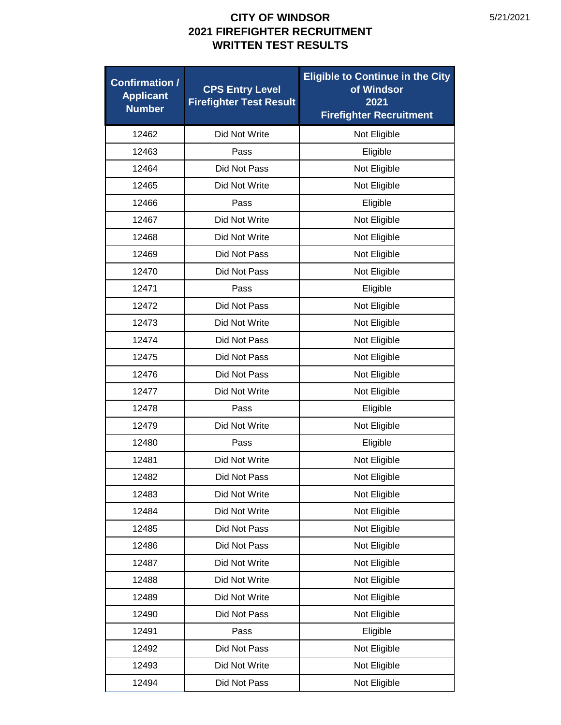| <b>Confirmation /</b><br><b>Applicant</b><br><b>Number</b> | <b>CPS Entry Level</b><br><b>Firefighter Test Result</b> | <b>Eligible to Continue in the City</b><br>of Windsor<br>2021<br><b>Firefighter Recruitment</b> |
|------------------------------------------------------------|----------------------------------------------------------|-------------------------------------------------------------------------------------------------|
| 12462                                                      | Did Not Write                                            | Not Eligible                                                                                    |
| 12463                                                      | Pass                                                     | Eligible                                                                                        |
| 12464                                                      | Did Not Pass                                             | Not Eligible                                                                                    |
| 12465                                                      | Did Not Write                                            | Not Eligible                                                                                    |
| 12466                                                      | Pass                                                     | Eligible                                                                                        |
| 12467                                                      | Did Not Write                                            | Not Eligible                                                                                    |
| 12468                                                      | Did Not Write                                            | Not Eligible                                                                                    |
| 12469                                                      | Did Not Pass                                             | Not Eligible                                                                                    |
| 12470                                                      | Did Not Pass                                             | Not Eligible                                                                                    |
| 12471                                                      | Pass                                                     | Eligible                                                                                        |
| 12472                                                      | Did Not Pass                                             | Not Eligible                                                                                    |
| 12473                                                      | Did Not Write                                            | Not Eligible                                                                                    |
| 12474                                                      | Did Not Pass                                             | Not Eligible                                                                                    |
| 12475                                                      | Did Not Pass                                             | Not Eligible                                                                                    |
| 12476                                                      | Did Not Pass                                             | Not Eligible                                                                                    |
| 12477                                                      | Did Not Write                                            | Not Eligible                                                                                    |
| 12478                                                      | Pass                                                     | Eligible                                                                                        |
| 12479                                                      | Did Not Write                                            | Not Eligible                                                                                    |
| 12480                                                      | Pass                                                     | Eligible                                                                                        |
| 12481                                                      | Did Not Write                                            | Not Eligible                                                                                    |
| 12482                                                      | Did Not Pass                                             | Not Eligible                                                                                    |
| 12483                                                      | Did Not Write                                            | Not Eligible                                                                                    |
| 12484                                                      | Did Not Write                                            | Not Eligible                                                                                    |
| 12485                                                      | Did Not Pass                                             | Not Eligible                                                                                    |
| 12486                                                      | Did Not Pass                                             | Not Eligible                                                                                    |
| 12487                                                      | Did Not Write                                            | Not Eligible                                                                                    |
| 12488                                                      | Did Not Write                                            | Not Eligible                                                                                    |
| 12489                                                      | Did Not Write                                            | Not Eligible                                                                                    |
| 12490                                                      | Did Not Pass                                             | Not Eligible                                                                                    |
| 12491                                                      | Pass                                                     | Eligible                                                                                        |
| 12492                                                      | Did Not Pass                                             | Not Eligible                                                                                    |
| 12493                                                      | Did Not Write                                            | Not Eligible                                                                                    |
| 12494                                                      | Did Not Pass                                             | Not Eligible                                                                                    |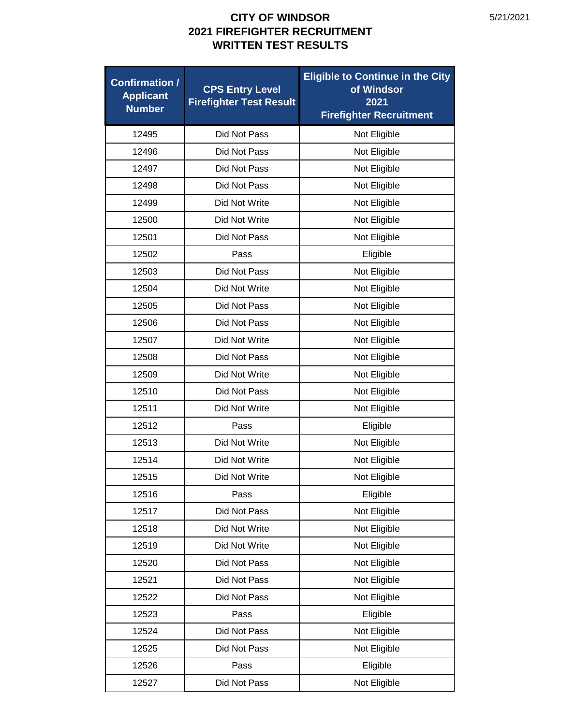| <b>Confirmation /</b><br><b>Applicant</b><br><b>Number</b> | <b>CPS Entry Level</b><br><b>Firefighter Test Result</b> | <b>Eligible to Continue in the City</b><br>of Windsor<br>2021<br><b>Firefighter Recruitment</b> |
|------------------------------------------------------------|----------------------------------------------------------|-------------------------------------------------------------------------------------------------|
| 12495                                                      | Did Not Pass                                             | Not Eligible                                                                                    |
| 12496                                                      | Did Not Pass                                             | Not Eligible                                                                                    |
| 12497                                                      | Did Not Pass                                             | Not Eligible                                                                                    |
| 12498                                                      | Did Not Pass                                             | Not Eligible                                                                                    |
| 12499                                                      | Did Not Write                                            | Not Eligible                                                                                    |
| 12500                                                      | Did Not Write                                            | Not Eligible                                                                                    |
| 12501                                                      | Did Not Pass                                             | Not Eligible                                                                                    |
| 12502                                                      | Pass                                                     | Eligible                                                                                        |
| 12503                                                      | Did Not Pass                                             | Not Eligible                                                                                    |
| 12504                                                      | Did Not Write                                            | Not Eligible                                                                                    |
| 12505                                                      | Did Not Pass                                             | Not Eligible                                                                                    |
| 12506                                                      | Did Not Pass                                             | Not Eligible                                                                                    |
| 12507                                                      | Did Not Write                                            | Not Eligible                                                                                    |
| 12508                                                      | Did Not Pass                                             | Not Eligible                                                                                    |
| 12509                                                      | Did Not Write                                            | Not Eligible                                                                                    |
| 12510                                                      | Did Not Pass                                             | Not Eligible                                                                                    |
| 12511                                                      | Did Not Write                                            | Not Eligible                                                                                    |
| 12512                                                      | Pass                                                     | Eligible                                                                                        |
| 12513                                                      | Did Not Write                                            | Not Eligible                                                                                    |
| 12514                                                      | Did Not Write                                            | Not Eligible                                                                                    |
| 12515                                                      | Did Not Write                                            | Not Eligible                                                                                    |
| 12516                                                      | Pass                                                     | Eligible                                                                                        |
| 12517                                                      | Did Not Pass                                             | Not Eligible                                                                                    |
| 12518                                                      | Did Not Write                                            | Not Eligible                                                                                    |
| 12519                                                      | Did Not Write                                            | Not Eligible                                                                                    |
| 12520                                                      | Did Not Pass                                             | Not Eligible                                                                                    |
| 12521                                                      | Did Not Pass                                             | Not Eligible                                                                                    |
| 12522                                                      | Did Not Pass                                             | Not Eligible                                                                                    |
| 12523                                                      | Pass                                                     | Eligible                                                                                        |
| 12524                                                      | Did Not Pass                                             | Not Eligible                                                                                    |
| 12525                                                      | Did Not Pass                                             | Not Eligible                                                                                    |
| 12526                                                      | Pass                                                     | Eligible                                                                                        |
| 12527                                                      | Did Not Pass                                             | Not Eligible                                                                                    |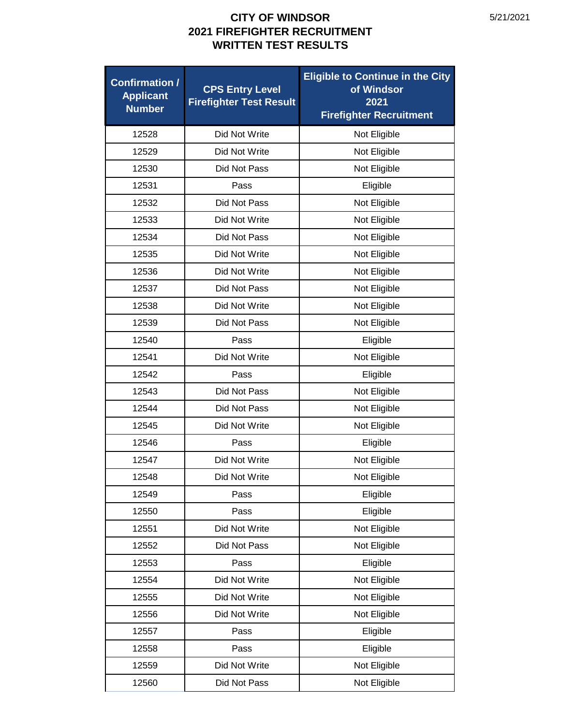| <b>Confirmation /</b><br><b>Applicant</b><br><b>Number</b> | <b>CPS Entry Level</b><br><b>Firefighter Test Result</b> | <b>Eligible to Continue in the City</b><br>of Windsor<br>2021<br><b>Firefighter Recruitment</b> |
|------------------------------------------------------------|----------------------------------------------------------|-------------------------------------------------------------------------------------------------|
| 12528                                                      | Did Not Write                                            | Not Eligible                                                                                    |
| 12529                                                      | Did Not Write                                            | Not Eligible                                                                                    |
| 12530                                                      | Did Not Pass                                             | Not Eligible                                                                                    |
| 12531                                                      | Pass                                                     | Eligible                                                                                        |
| 12532                                                      | Did Not Pass                                             | Not Eligible                                                                                    |
| 12533                                                      | Did Not Write                                            | Not Eligible                                                                                    |
| 12534                                                      | Did Not Pass                                             | Not Eligible                                                                                    |
| 12535                                                      | Did Not Write                                            | Not Eligible                                                                                    |
| 12536                                                      | Did Not Write                                            | Not Eligible                                                                                    |
| 12537                                                      | Did Not Pass                                             | Not Eligible                                                                                    |
| 12538                                                      | Did Not Write                                            | Not Eligible                                                                                    |
| 12539                                                      | Did Not Pass                                             | Not Eligible                                                                                    |
| 12540                                                      | Pass                                                     | Eligible                                                                                        |
| 12541                                                      | Did Not Write                                            | Not Eligible                                                                                    |
| 12542                                                      | Pass                                                     | Eligible                                                                                        |
| 12543                                                      | Did Not Pass                                             | Not Eligible                                                                                    |
| 12544                                                      | Did Not Pass                                             | Not Eligible                                                                                    |
| 12545                                                      | Did Not Write                                            | Not Eligible                                                                                    |
| 12546                                                      | Pass                                                     | Eligible                                                                                        |
| 12547                                                      | Did Not Write                                            | Not Eligible                                                                                    |
| 12548                                                      | Did Not Write                                            | Not Eligible                                                                                    |
| 12549                                                      | Pass                                                     | Eligible                                                                                        |
| 12550                                                      | Pass                                                     | Eligible                                                                                        |
| 12551                                                      | Did Not Write                                            | Not Eligible                                                                                    |
| 12552                                                      | Did Not Pass                                             | Not Eligible                                                                                    |
| 12553                                                      | Pass                                                     | Eligible                                                                                        |
| 12554                                                      | Did Not Write                                            | Not Eligible                                                                                    |
| 12555                                                      | Did Not Write                                            | Not Eligible                                                                                    |
| 12556                                                      | Did Not Write                                            | Not Eligible                                                                                    |
| 12557                                                      | Pass                                                     | Eligible                                                                                        |
| 12558                                                      | Pass                                                     | Eligible                                                                                        |
| 12559                                                      | Did Not Write                                            | Not Eligible                                                                                    |
| 12560                                                      | Did Not Pass                                             | Not Eligible                                                                                    |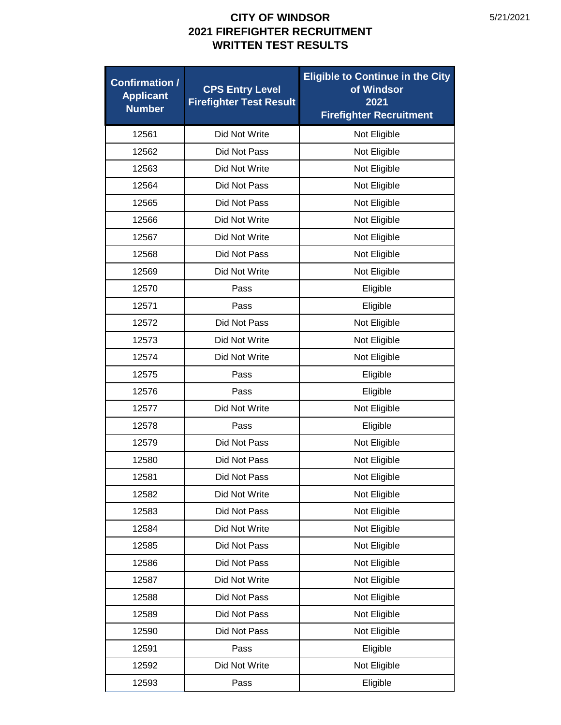| <b>Confirmation /</b><br><b>Applicant</b><br><b>Number</b> | <b>CPS Entry Level</b><br><b>Firefighter Test Result</b> | <b>Eligible to Continue in the City</b><br>of Windsor<br>2021<br><b>Firefighter Recruitment</b> |
|------------------------------------------------------------|----------------------------------------------------------|-------------------------------------------------------------------------------------------------|
| 12561                                                      | Did Not Write                                            | Not Eligible                                                                                    |
| 12562                                                      | Did Not Pass                                             | Not Eligible                                                                                    |
| 12563                                                      | Did Not Write                                            | Not Eligible                                                                                    |
| 12564                                                      | Did Not Pass                                             | Not Eligible                                                                                    |
| 12565                                                      | Did Not Pass                                             | Not Eligible                                                                                    |
| 12566                                                      | Did Not Write                                            | Not Eligible                                                                                    |
| 12567                                                      | Did Not Write                                            | Not Eligible                                                                                    |
| 12568                                                      | Did Not Pass                                             | Not Eligible                                                                                    |
| 12569                                                      | Did Not Write                                            | Not Eligible                                                                                    |
| 12570                                                      | Pass                                                     | Eligible                                                                                        |
| 12571                                                      | Pass                                                     | Eligible                                                                                        |
| 12572                                                      | Did Not Pass                                             | Not Eligible                                                                                    |
| 12573                                                      | Did Not Write                                            | Not Eligible                                                                                    |
| 12574                                                      | Did Not Write                                            | Not Eligible                                                                                    |
| 12575                                                      | Pass                                                     | Eligible                                                                                        |
| 12576                                                      | Pass                                                     | Eligible                                                                                        |
| 12577                                                      | Did Not Write                                            | Not Eligible                                                                                    |
| 12578                                                      | Pass                                                     | Eligible                                                                                        |
| 12579                                                      | Did Not Pass                                             | Not Eligible                                                                                    |
| 12580                                                      | Did Not Pass                                             | Not Eligible                                                                                    |
| 12581                                                      | Did Not Pass                                             | Not Eligible                                                                                    |
| 12582                                                      | Did Not Write                                            | Not Eligible                                                                                    |
| 12583                                                      | Did Not Pass                                             | Not Eligible                                                                                    |
| 12584                                                      | Did Not Write                                            | Not Eligible                                                                                    |
| 12585                                                      | Did Not Pass                                             | Not Eligible                                                                                    |
| 12586                                                      | Did Not Pass                                             | Not Eligible                                                                                    |
| 12587                                                      | Did Not Write                                            | Not Eligible                                                                                    |
| 12588                                                      | Did Not Pass                                             | Not Eligible                                                                                    |
| 12589                                                      | Did Not Pass                                             | Not Eligible                                                                                    |
| 12590                                                      | Did Not Pass                                             | Not Eligible                                                                                    |
| 12591                                                      | Pass                                                     | Eligible                                                                                        |
| 12592                                                      | Did Not Write                                            | Not Eligible                                                                                    |
| 12593                                                      | Pass                                                     | Eligible                                                                                        |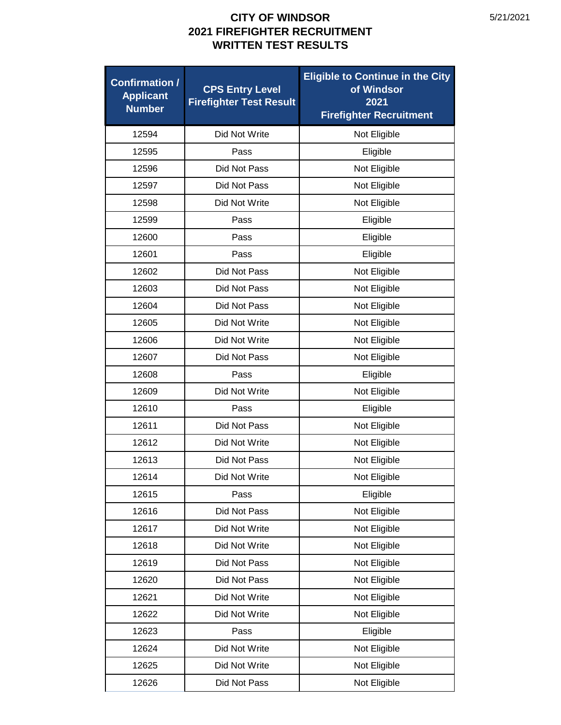| <b>Confirmation /</b><br><b>Applicant</b><br><b>Number</b> | <b>CPS Entry Level</b><br><b>Firefighter Test Result</b> | <b>Eligible to Continue in the City</b><br>of Windsor<br>2021<br><b>Firefighter Recruitment</b> |
|------------------------------------------------------------|----------------------------------------------------------|-------------------------------------------------------------------------------------------------|
| 12594                                                      | Did Not Write                                            | Not Eligible                                                                                    |
| 12595                                                      | Pass                                                     | Eligible                                                                                        |
| 12596                                                      | Did Not Pass                                             | Not Eligible                                                                                    |
| 12597                                                      | Did Not Pass                                             | Not Eligible                                                                                    |
| 12598                                                      | Did Not Write                                            | Not Eligible                                                                                    |
| 12599                                                      | Pass                                                     | Eligible                                                                                        |
| 12600                                                      | Pass                                                     | Eligible                                                                                        |
| 12601                                                      | Pass                                                     | Eligible                                                                                        |
| 12602                                                      | Did Not Pass                                             | Not Eligible                                                                                    |
| 12603                                                      | Did Not Pass                                             | Not Eligible                                                                                    |
| 12604                                                      | Did Not Pass                                             | Not Eligible                                                                                    |
| 12605                                                      | Did Not Write                                            | Not Eligible                                                                                    |
| 12606                                                      | Did Not Write                                            | Not Eligible                                                                                    |
| 12607                                                      | Did Not Pass                                             | Not Eligible                                                                                    |
| 12608                                                      | Pass                                                     | Eligible                                                                                        |
| 12609                                                      | Did Not Write                                            | Not Eligible                                                                                    |
| 12610                                                      | Pass                                                     | Eligible                                                                                        |
| 12611                                                      | Did Not Pass                                             | Not Eligible                                                                                    |
| 12612                                                      | Did Not Write                                            | Not Eligible                                                                                    |
| 12613                                                      | Did Not Pass                                             | Not Eligible                                                                                    |
| 12614                                                      | Did Not Write                                            | Not Eligible                                                                                    |
| 12615                                                      | Pass                                                     | Eligible                                                                                        |
| 12616                                                      | Did Not Pass                                             | Not Eligible                                                                                    |
| 12617                                                      | Did Not Write                                            | Not Eligible                                                                                    |
| 12618                                                      | Did Not Write                                            | Not Eligible                                                                                    |
| 12619                                                      | Did Not Pass                                             | Not Eligible                                                                                    |
| 12620                                                      | Did Not Pass                                             | Not Eligible                                                                                    |
| 12621                                                      | Did Not Write                                            | Not Eligible                                                                                    |
| 12622                                                      | Did Not Write                                            | Not Eligible                                                                                    |
| 12623                                                      | Pass                                                     | Eligible                                                                                        |
| 12624                                                      | Did Not Write                                            | Not Eligible                                                                                    |
| 12625                                                      | Did Not Write                                            | Not Eligible                                                                                    |
| 12626                                                      | Did Not Pass                                             | Not Eligible                                                                                    |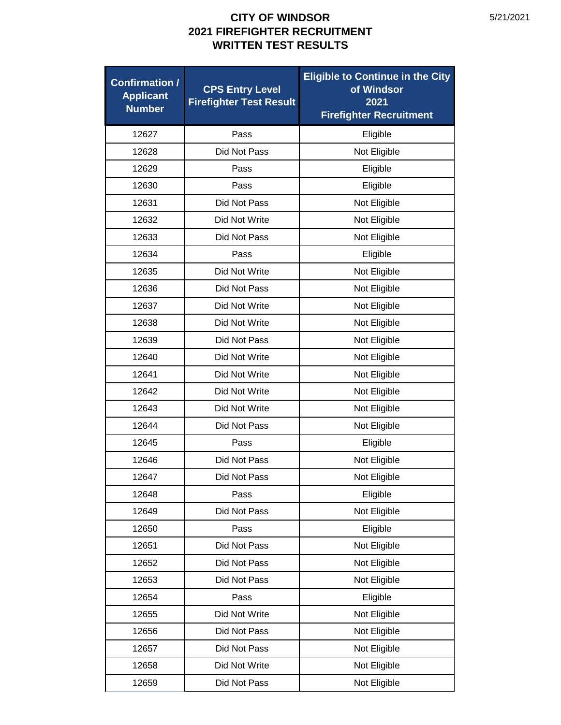| <b>Confirmation /</b><br><b>Applicant</b><br><b>Number</b> | <b>CPS Entry Level</b><br><b>Firefighter Test Result</b> | <b>Eligible to Continue in the City</b><br>of Windsor<br>2021<br><b>Firefighter Recruitment</b> |
|------------------------------------------------------------|----------------------------------------------------------|-------------------------------------------------------------------------------------------------|
| 12627                                                      | Pass                                                     | Eligible                                                                                        |
| 12628                                                      | Did Not Pass                                             | Not Eligible                                                                                    |
| 12629                                                      | Pass                                                     | Eligible                                                                                        |
| 12630                                                      | Pass                                                     | Eligible                                                                                        |
| 12631                                                      | Did Not Pass                                             | Not Eligible                                                                                    |
| 12632                                                      | Did Not Write                                            | Not Eligible                                                                                    |
| 12633                                                      | Did Not Pass                                             | Not Eligible                                                                                    |
| 12634                                                      | Pass                                                     | Eligible                                                                                        |
| 12635                                                      | Did Not Write                                            | Not Eligible                                                                                    |
| 12636                                                      | Did Not Pass                                             | Not Eligible                                                                                    |
| 12637                                                      | Did Not Write                                            | Not Eligible                                                                                    |
| 12638                                                      | Did Not Write                                            | Not Eligible                                                                                    |
| 12639                                                      | Did Not Pass                                             | Not Eligible                                                                                    |
| 12640                                                      | Did Not Write                                            | Not Eligible                                                                                    |
| 12641                                                      | Did Not Write                                            | Not Eligible                                                                                    |
| 12642                                                      | Did Not Write                                            | Not Eligible                                                                                    |
| 12643                                                      | Did Not Write                                            | Not Eligible                                                                                    |
| 12644                                                      | Did Not Pass                                             | Not Eligible                                                                                    |
| 12645                                                      | Pass                                                     | Eligible                                                                                        |
| 12646                                                      | Did Not Pass                                             | Not Eligible                                                                                    |
| 12647                                                      | Did Not Pass                                             | Not Eligible                                                                                    |
| 12648                                                      | Pass                                                     | Eligible                                                                                        |
| 12649                                                      | Did Not Pass                                             | Not Eligible                                                                                    |
| 12650                                                      | Pass                                                     | Eligible                                                                                        |
| 12651                                                      | Did Not Pass                                             | Not Eligible                                                                                    |
| 12652                                                      | Did Not Pass                                             | Not Eligible                                                                                    |
| 12653                                                      | Did Not Pass                                             | Not Eligible                                                                                    |
| 12654                                                      | Pass                                                     | Eligible                                                                                        |
| 12655                                                      | Did Not Write                                            | Not Eligible                                                                                    |
| 12656                                                      | Did Not Pass                                             | Not Eligible                                                                                    |
| 12657                                                      | Did Not Pass                                             | Not Eligible                                                                                    |
| 12658                                                      | Did Not Write                                            | Not Eligible                                                                                    |
| 12659                                                      | Did Not Pass                                             | Not Eligible                                                                                    |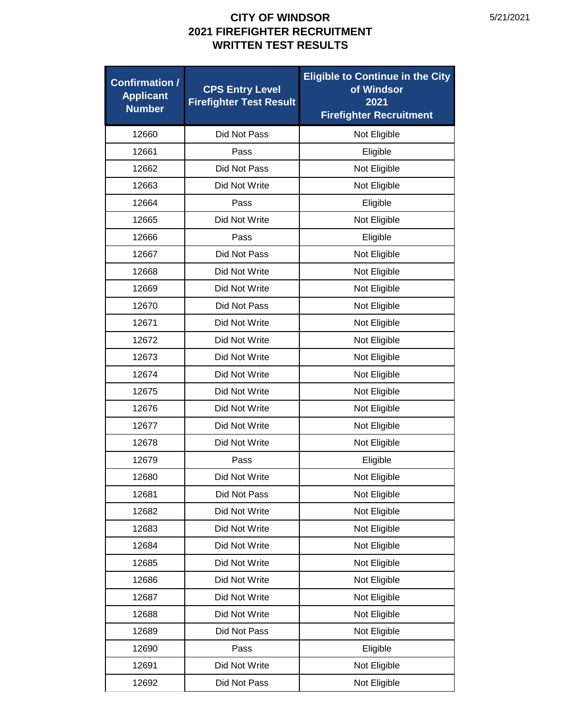| <b>Confirmation /</b><br><b>Applicant</b><br><b>Number</b> | <b>CPS Entry Level</b><br><b>Firefighter Test Result</b> | <b>Eligible to Continue in the City</b><br>of Windsor<br>2021<br><b>Firefighter Recruitment</b> |
|------------------------------------------------------------|----------------------------------------------------------|-------------------------------------------------------------------------------------------------|
| 12660                                                      | Did Not Pass                                             | Not Eligible                                                                                    |
| 12661                                                      | Pass                                                     | Eligible                                                                                        |
| 12662                                                      | Did Not Pass                                             | Not Eligible                                                                                    |
| 12663                                                      | Did Not Write                                            | Not Eligible                                                                                    |
| 12664                                                      | Pass                                                     | Eligible                                                                                        |
| 12665                                                      | Did Not Write                                            | Not Eligible                                                                                    |
| 12666                                                      | Pass                                                     | Eligible                                                                                        |
| 12667                                                      | Did Not Pass                                             | Not Eligible                                                                                    |
| 12668                                                      | Did Not Write                                            | Not Eligible                                                                                    |
| 12669                                                      | Did Not Write                                            | Not Eligible                                                                                    |
| 12670                                                      | Did Not Pass                                             | Not Eligible                                                                                    |
| 12671                                                      | Did Not Write                                            | Not Eligible                                                                                    |
| 12672                                                      | Did Not Write                                            | Not Eligible                                                                                    |
| 12673                                                      | Did Not Write                                            | Not Eligible                                                                                    |
| 12674                                                      | Did Not Write                                            | Not Eligible                                                                                    |
| 12675                                                      | Did Not Write                                            | Not Eligible                                                                                    |
| 12676                                                      | Did Not Write                                            | Not Eligible                                                                                    |
| 12677                                                      | Did Not Write                                            | Not Eligible                                                                                    |
| 12678                                                      | Did Not Write                                            | Not Eligible                                                                                    |
| 12679                                                      | Pass                                                     | Eligible                                                                                        |
| 12680                                                      | Did Not Write                                            | Not Eligible                                                                                    |
| 12681                                                      | Did Not Pass                                             | Not Eligible                                                                                    |
| 12682                                                      | Did Not Write                                            | Not Eligible                                                                                    |
| 12683                                                      | Did Not Write                                            | Not Eligible                                                                                    |
| 12684                                                      | Did Not Write                                            | Not Eligible                                                                                    |
| 12685                                                      | Did Not Write                                            | Not Eligible                                                                                    |
| 12686                                                      | Did Not Write                                            | Not Eligible                                                                                    |
| 12687                                                      | Did Not Write                                            | Not Eligible                                                                                    |
| 12688                                                      | Did Not Write                                            | Not Eligible                                                                                    |
| 12689                                                      | Did Not Pass                                             | Not Eligible                                                                                    |
| 12690                                                      | Pass                                                     | Eligible                                                                                        |
| 12691                                                      | Did Not Write                                            | Not Eligible                                                                                    |
| 12692                                                      | Did Not Pass                                             | Not Eligible                                                                                    |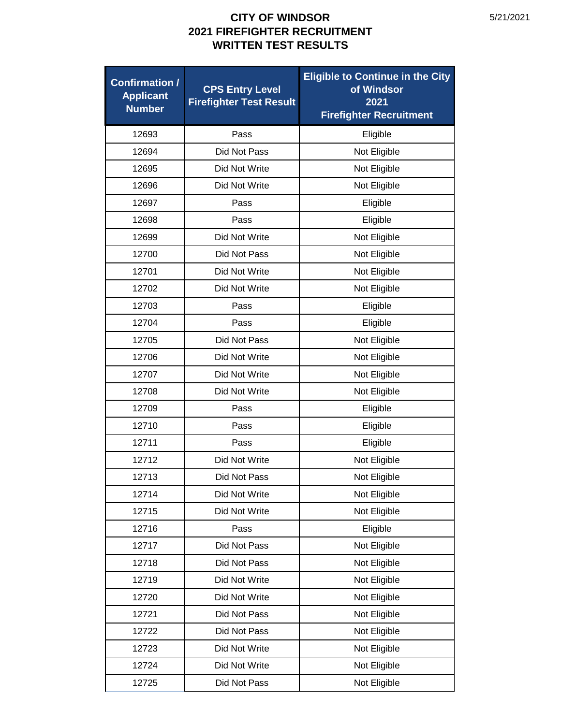| <b>Confirmation /</b><br><b>Applicant</b><br><b>Number</b> | <b>CPS Entry Level</b><br><b>Firefighter Test Result</b> | <b>Eligible to Continue in the City</b><br>of Windsor<br>2021<br><b>Firefighter Recruitment</b> |
|------------------------------------------------------------|----------------------------------------------------------|-------------------------------------------------------------------------------------------------|
| 12693                                                      | Pass                                                     | Eligible                                                                                        |
| 12694                                                      | Did Not Pass                                             | Not Eligible                                                                                    |
| 12695                                                      | Did Not Write                                            | Not Eligible                                                                                    |
| 12696                                                      | Did Not Write                                            | Not Eligible                                                                                    |
| 12697                                                      | Pass                                                     | Eligible                                                                                        |
| 12698                                                      | Pass                                                     | Eligible                                                                                        |
| 12699                                                      | Did Not Write                                            | Not Eligible                                                                                    |
| 12700                                                      | Did Not Pass                                             | Not Eligible                                                                                    |
| 12701                                                      | Did Not Write                                            | Not Eligible                                                                                    |
| 12702                                                      | Did Not Write                                            | Not Eligible                                                                                    |
| 12703                                                      | Pass                                                     | Eligible                                                                                        |
| 12704                                                      | Pass                                                     | Eligible                                                                                        |
| 12705                                                      | Did Not Pass                                             | Not Eligible                                                                                    |
| 12706                                                      | Did Not Write                                            | Not Eligible                                                                                    |
| 12707                                                      | Did Not Write                                            | Not Eligible                                                                                    |
| 12708                                                      | Did Not Write                                            | Not Eligible                                                                                    |
| 12709                                                      | Pass                                                     | Eligible                                                                                        |
| 12710                                                      | Pass                                                     | Eligible                                                                                        |
| 12711                                                      | Pass                                                     | Eligible                                                                                        |
| 12712                                                      | Did Not Write                                            | Not Eligible                                                                                    |
| 12713                                                      | Did Not Pass                                             | Not Eligible                                                                                    |
| 12714                                                      | Did Not Write                                            | Not Eligible                                                                                    |
| 12715                                                      | Did Not Write                                            | Not Eligible                                                                                    |
| 12716                                                      | Pass                                                     | Eligible                                                                                        |
| 12717                                                      | Did Not Pass                                             | Not Eligible                                                                                    |
| 12718                                                      | Did Not Pass                                             | Not Eligible                                                                                    |
| 12719                                                      | Did Not Write                                            | Not Eligible                                                                                    |
| 12720                                                      | Did Not Write                                            | Not Eligible                                                                                    |
| 12721                                                      | Did Not Pass                                             | Not Eligible                                                                                    |
| 12722                                                      | Did Not Pass                                             | Not Eligible                                                                                    |
| 12723                                                      | Did Not Write                                            | Not Eligible                                                                                    |
| 12724                                                      | Did Not Write                                            | Not Eligible                                                                                    |
| 12725                                                      | Did Not Pass                                             | Not Eligible                                                                                    |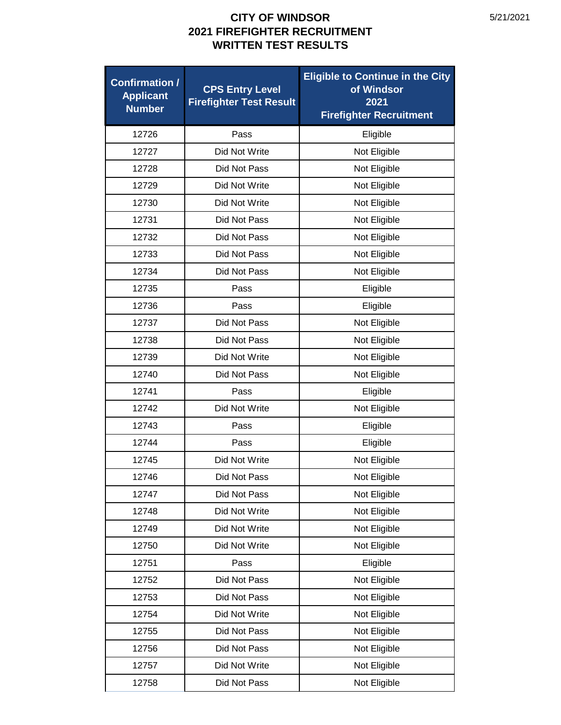| <b>Confirmation /</b><br><b>Applicant</b><br><b>Number</b> | <b>CPS Entry Level</b><br><b>Firefighter Test Result</b> | <b>Eligible to Continue in the City</b><br>of Windsor<br>2021<br><b>Firefighter Recruitment</b> |
|------------------------------------------------------------|----------------------------------------------------------|-------------------------------------------------------------------------------------------------|
| 12726                                                      | Pass                                                     | Eligible                                                                                        |
| 12727                                                      | Did Not Write                                            | Not Eligible                                                                                    |
| 12728                                                      | Did Not Pass                                             | Not Eligible                                                                                    |
| 12729                                                      | Did Not Write                                            | Not Eligible                                                                                    |
| 12730                                                      | Did Not Write                                            | Not Eligible                                                                                    |
| 12731                                                      | Did Not Pass                                             | Not Eligible                                                                                    |
| 12732                                                      | Did Not Pass                                             | Not Eligible                                                                                    |
| 12733                                                      | Did Not Pass                                             | Not Eligible                                                                                    |
| 12734                                                      | Did Not Pass                                             | Not Eligible                                                                                    |
| 12735                                                      | Pass                                                     | Eligible                                                                                        |
| 12736                                                      | Pass                                                     | Eligible                                                                                        |
| 12737                                                      | Did Not Pass                                             | Not Eligible                                                                                    |
| 12738                                                      | Did Not Pass                                             | Not Eligible                                                                                    |
| 12739                                                      | Did Not Write                                            | Not Eligible                                                                                    |
| 12740                                                      | Did Not Pass                                             | Not Eligible                                                                                    |
| 12741                                                      | Pass                                                     | Eligible                                                                                        |
| 12742                                                      | Did Not Write                                            | Not Eligible                                                                                    |
| 12743                                                      | Pass                                                     | Eligible                                                                                        |
| 12744                                                      | Pass                                                     | Eligible                                                                                        |
| 12745                                                      | Did Not Write                                            | Not Eligible                                                                                    |
| 12746                                                      | Did Not Pass                                             | Not Eligible                                                                                    |
| 12747                                                      | Did Not Pass                                             | Not Eligible                                                                                    |
| 12748                                                      | Did Not Write                                            | Not Eligible                                                                                    |
| 12749                                                      | Did Not Write                                            | Not Eligible                                                                                    |
| 12750                                                      | Did Not Write                                            | Not Eligible                                                                                    |
| 12751                                                      | Pass                                                     | Eligible                                                                                        |
| 12752                                                      | Did Not Pass                                             | Not Eligible                                                                                    |
| 12753                                                      | Did Not Pass                                             | Not Eligible                                                                                    |
| 12754                                                      | Did Not Write                                            | Not Eligible                                                                                    |
| 12755                                                      | Did Not Pass                                             | Not Eligible                                                                                    |
| 12756                                                      | Did Not Pass                                             | Not Eligible                                                                                    |
| 12757                                                      | Did Not Write                                            | Not Eligible                                                                                    |
| 12758                                                      | Did Not Pass                                             | Not Eligible                                                                                    |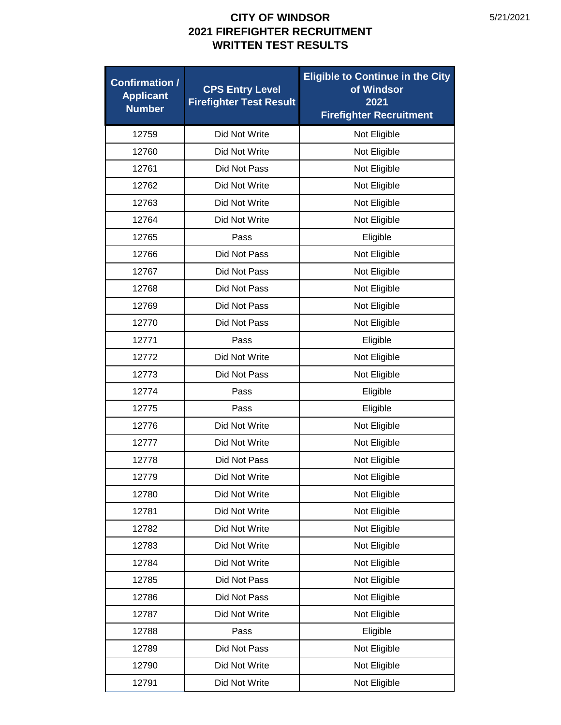| <b>Confirmation /</b><br><b>Applicant</b><br><b>Number</b> | <b>CPS Entry Level</b><br><b>Firefighter Test Result</b> | <b>Eligible to Continue in the City</b><br>of Windsor<br>2021<br><b>Firefighter Recruitment</b> |
|------------------------------------------------------------|----------------------------------------------------------|-------------------------------------------------------------------------------------------------|
| 12759                                                      | Did Not Write                                            | Not Eligible                                                                                    |
| 12760                                                      | Did Not Write                                            | Not Eligible                                                                                    |
| 12761                                                      | Did Not Pass                                             | Not Eligible                                                                                    |
| 12762                                                      | Did Not Write                                            | Not Eligible                                                                                    |
| 12763                                                      | Did Not Write                                            | Not Eligible                                                                                    |
| 12764                                                      | Did Not Write                                            | Not Eligible                                                                                    |
| 12765                                                      | Pass                                                     | Eligible                                                                                        |
| 12766                                                      | <b>Did Not Pass</b>                                      | Not Eligible                                                                                    |
| 12767                                                      | Did Not Pass                                             | Not Eligible                                                                                    |
| 12768                                                      | Did Not Pass                                             | Not Eligible                                                                                    |
| 12769                                                      | Did Not Pass                                             | Not Eligible                                                                                    |
| 12770                                                      | Did Not Pass                                             | Not Eligible                                                                                    |
| 12771                                                      | Pass                                                     | Eligible                                                                                        |
| 12772                                                      | Did Not Write                                            | Not Eligible                                                                                    |
| 12773                                                      | Did Not Pass                                             | Not Eligible                                                                                    |
| 12774                                                      | Pass                                                     | Eligible                                                                                        |
| 12775                                                      | Pass                                                     | Eligible                                                                                        |
| 12776                                                      | Did Not Write                                            | Not Eligible                                                                                    |
| 12777                                                      | Did Not Write                                            | Not Eligible                                                                                    |
| 12778                                                      | Did Not Pass                                             | Not Eligible                                                                                    |
| 12779                                                      | Did Not Write                                            | Not Eligible                                                                                    |
| 12780                                                      | Did Not Write                                            | Not Eligible                                                                                    |
| 12781                                                      | Did Not Write                                            | Not Eligible                                                                                    |
| 12782                                                      | Did Not Write                                            | Not Eligible                                                                                    |
| 12783                                                      | Did Not Write                                            | Not Eligible                                                                                    |
| 12784                                                      | Did Not Write                                            | Not Eligible                                                                                    |
| 12785                                                      | Did Not Pass                                             | Not Eligible                                                                                    |
| 12786                                                      | Did Not Pass                                             | Not Eligible                                                                                    |
| 12787                                                      | Did Not Write                                            | Not Eligible                                                                                    |
| 12788                                                      | Pass                                                     | Eligible                                                                                        |
| 12789                                                      | Did Not Pass                                             | Not Eligible                                                                                    |
| 12790                                                      | Did Not Write                                            | Not Eligible                                                                                    |
| 12791                                                      | Did Not Write                                            | Not Eligible                                                                                    |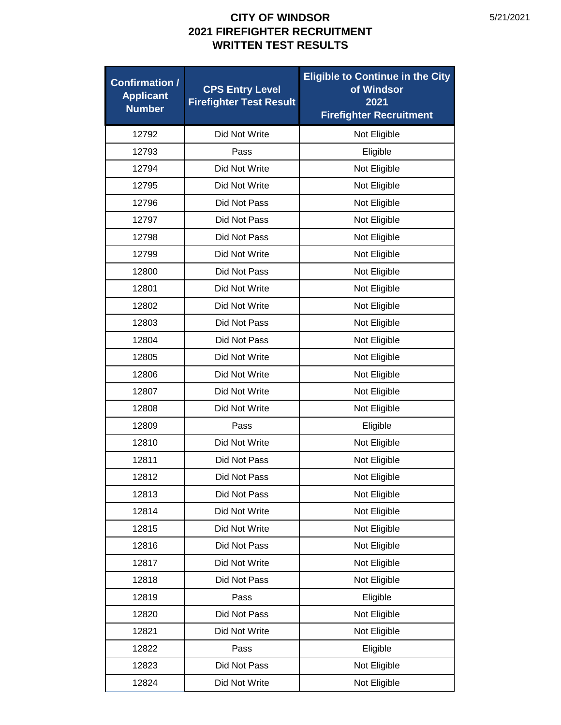| <b>Confirmation /</b><br><b>Applicant</b><br><b>Number</b> | <b>CPS Entry Level</b><br><b>Firefighter Test Result</b> | <b>Eligible to Continue in the City</b><br>of Windsor<br>2021<br><b>Firefighter Recruitment</b> |
|------------------------------------------------------------|----------------------------------------------------------|-------------------------------------------------------------------------------------------------|
| 12792                                                      | Did Not Write                                            | Not Eligible                                                                                    |
| 12793                                                      | Pass                                                     | Eligible                                                                                        |
| 12794                                                      | Did Not Write                                            | Not Eligible                                                                                    |
| 12795                                                      | Did Not Write                                            | Not Eligible                                                                                    |
| 12796                                                      | Did Not Pass                                             | Not Eligible                                                                                    |
| 12797                                                      | Did Not Pass                                             | Not Eligible                                                                                    |
| 12798                                                      | Did Not Pass                                             | Not Eligible                                                                                    |
| 12799                                                      | Did Not Write                                            | Not Eligible                                                                                    |
| 12800                                                      | Did Not Pass                                             | Not Eligible                                                                                    |
| 12801                                                      | Did Not Write                                            | Not Eligible                                                                                    |
| 12802                                                      | Did Not Write                                            | Not Eligible                                                                                    |
| 12803                                                      | Did Not Pass                                             | Not Eligible                                                                                    |
| 12804                                                      | Did Not Pass                                             | Not Eligible                                                                                    |
| 12805                                                      | Did Not Write                                            | Not Eligible                                                                                    |
| 12806                                                      | Did Not Write                                            | Not Eligible                                                                                    |
| 12807                                                      | Did Not Write                                            | Not Eligible                                                                                    |
| 12808                                                      | Did Not Write                                            | Not Eligible                                                                                    |
| 12809                                                      | Pass                                                     | Eligible                                                                                        |
| 12810                                                      | Did Not Write                                            | Not Eligible                                                                                    |
| 12811                                                      | Did Not Pass                                             | Not Eligible                                                                                    |
| 12812                                                      | Did Not Pass                                             | Not Eligible                                                                                    |
| 12813                                                      | Did Not Pass                                             | Not Eligible                                                                                    |
| 12814                                                      | Did Not Write                                            | Not Eligible                                                                                    |
| 12815                                                      | Did Not Write                                            | Not Eligible                                                                                    |
| 12816                                                      | Did Not Pass                                             | Not Eligible                                                                                    |
| 12817                                                      | Did Not Write                                            | Not Eligible                                                                                    |
| 12818                                                      | Did Not Pass                                             | Not Eligible                                                                                    |
| 12819                                                      | Pass                                                     | Eligible                                                                                        |
| 12820                                                      | Did Not Pass                                             | Not Eligible                                                                                    |
| 12821                                                      | Did Not Write                                            | Not Eligible                                                                                    |
| 12822                                                      | Pass                                                     | Eligible                                                                                        |
| 12823                                                      | Did Not Pass                                             | Not Eligible                                                                                    |
| 12824                                                      | Did Not Write                                            | Not Eligible                                                                                    |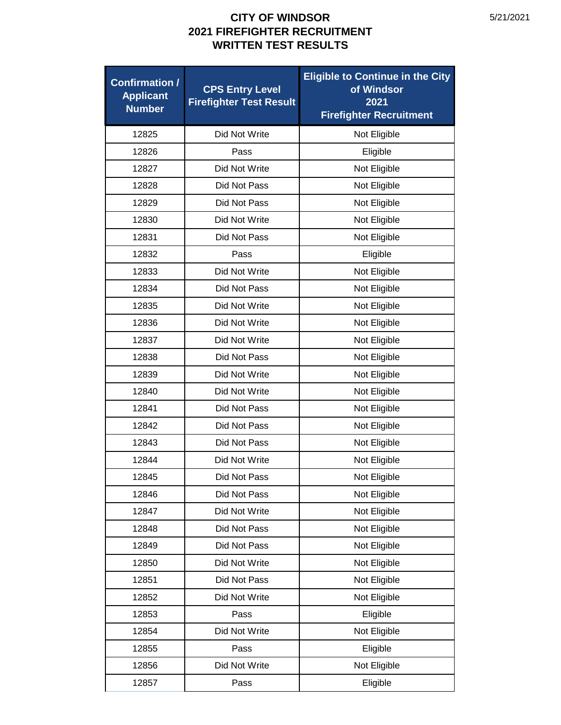| <b>Confirmation /</b><br><b>Applicant</b><br><b>Number</b> | <b>CPS Entry Level</b><br><b>Firefighter Test Result</b> | <b>Eligible to Continue in the City</b><br>of Windsor<br>2021<br><b>Firefighter Recruitment</b> |
|------------------------------------------------------------|----------------------------------------------------------|-------------------------------------------------------------------------------------------------|
| 12825                                                      | Did Not Write                                            | Not Eligible                                                                                    |
| 12826                                                      | Pass                                                     | Eligible                                                                                        |
| 12827                                                      | Did Not Write                                            | Not Eligible                                                                                    |
| 12828                                                      | Did Not Pass                                             | Not Eligible                                                                                    |
| 12829                                                      | Did Not Pass                                             | Not Eligible                                                                                    |
| 12830                                                      | Did Not Write                                            | Not Eligible                                                                                    |
| 12831                                                      | Did Not Pass                                             | Not Eligible                                                                                    |
| 12832                                                      | Pass                                                     | Eligible                                                                                        |
| 12833                                                      | Did Not Write                                            | Not Eligible                                                                                    |
| 12834                                                      | Did Not Pass                                             | Not Eligible                                                                                    |
| 12835                                                      | Did Not Write                                            | Not Eligible                                                                                    |
| 12836                                                      | Did Not Write                                            | Not Eligible                                                                                    |
| 12837                                                      | Did Not Write                                            | Not Eligible                                                                                    |
| 12838                                                      | Did Not Pass                                             | Not Eligible                                                                                    |
| 12839                                                      | Did Not Write                                            | Not Eligible                                                                                    |
| 12840                                                      | Did Not Write                                            | Not Eligible                                                                                    |
| 12841                                                      | Did Not Pass                                             | Not Eligible                                                                                    |
| 12842                                                      | Did Not Pass                                             | Not Eligible                                                                                    |
| 12843                                                      | Did Not Pass                                             | Not Eligible                                                                                    |
| 12844                                                      | Did Not Write                                            | Not Eligible                                                                                    |
| 12845                                                      | Did Not Pass                                             | Not Eligible                                                                                    |
| 12846                                                      | Did Not Pass                                             | Not Eligible                                                                                    |
| 12847                                                      | Did Not Write                                            | Not Eligible                                                                                    |
| 12848                                                      | Did Not Pass                                             | Not Eligible                                                                                    |
| 12849                                                      | Did Not Pass                                             | Not Eligible                                                                                    |
| 12850                                                      | Did Not Write                                            | Not Eligible                                                                                    |
| 12851                                                      | Did Not Pass                                             | Not Eligible                                                                                    |
| 12852                                                      | Did Not Write                                            | Not Eligible                                                                                    |
| 12853                                                      | Pass                                                     | Eligible                                                                                        |
| 12854                                                      | Did Not Write                                            | Not Eligible                                                                                    |
| 12855                                                      | Pass                                                     | Eligible                                                                                        |
| 12856                                                      | Did Not Write                                            | Not Eligible                                                                                    |
| 12857                                                      | Pass                                                     | Eligible                                                                                        |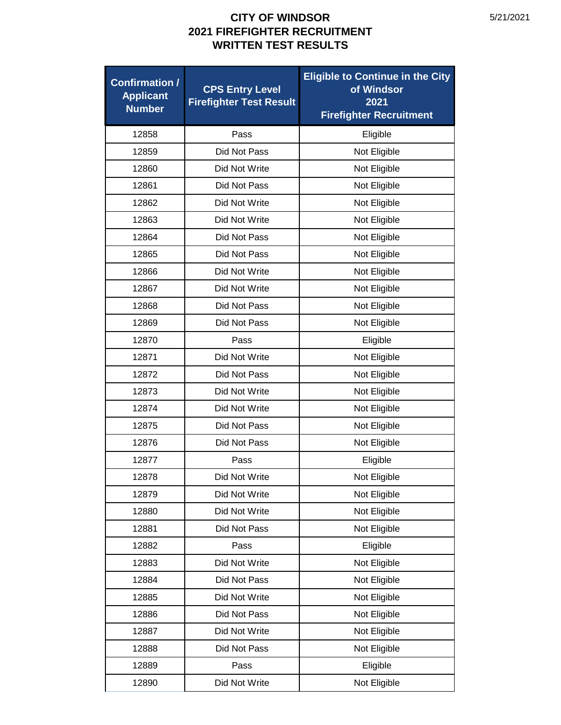| <b>Confirmation /</b><br><b>Applicant</b><br><b>Number</b> | <b>CPS Entry Level</b><br><b>Firefighter Test Result</b> | <b>Eligible to Continue in the City</b><br>of Windsor<br>2021<br><b>Firefighter Recruitment</b> |
|------------------------------------------------------------|----------------------------------------------------------|-------------------------------------------------------------------------------------------------|
| 12858                                                      | Pass                                                     | Eligible                                                                                        |
| 12859                                                      | Did Not Pass                                             | Not Eligible                                                                                    |
| 12860                                                      | Did Not Write                                            | Not Eligible                                                                                    |
| 12861                                                      | Did Not Pass                                             | Not Eligible                                                                                    |
| 12862                                                      | Did Not Write                                            | Not Eligible                                                                                    |
| 12863                                                      | Did Not Write                                            | Not Eligible                                                                                    |
| 12864                                                      | Did Not Pass                                             | Not Eligible                                                                                    |
| 12865                                                      | Did Not Pass                                             | Not Eligible                                                                                    |
| 12866                                                      | Did Not Write                                            | Not Eligible                                                                                    |
| 12867                                                      | Did Not Write                                            | Not Eligible                                                                                    |
| 12868                                                      | Did Not Pass                                             | Not Eligible                                                                                    |
| 12869                                                      | Did Not Pass                                             | Not Eligible                                                                                    |
| 12870                                                      | Pass                                                     | Eligible                                                                                        |
| 12871                                                      | Did Not Write                                            | Not Eligible                                                                                    |
| 12872                                                      | Did Not Pass                                             | Not Eligible                                                                                    |
| 12873                                                      | Did Not Write                                            | Not Eligible                                                                                    |
| 12874                                                      | Did Not Write                                            | Not Eligible                                                                                    |
| 12875                                                      | Did Not Pass                                             | Not Eligible                                                                                    |
| 12876                                                      | Did Not Pass                                             | Not Eligible                                                                                    |
| 12877                                                      | Pass                                                     | Eligible                                                                                        |
| 12878                                                      | Did Not Write                                            | Not Eligible                                                                                    |
| 12879                                                      | Did Not Write                                            | Not Eligible                                                                                    |
| 12880                                                      | Did Not Write                                            | Not Eligible                                                                                    |
| 12881                                                      | Did Not Pass                                             | Not Eligible                                                                                    |
| 12882                                                      | Pass                                                     | Eligible                                                                                        |
| 12883                                                      | Did Not Write                                            | Not Eligible                                                                                    |
| 12884                                                      | Did Not Pass                                             | Not Eligible                                                                                    |
| 12885                                                      | Did Not Write                                            | Not Eligible                                                                                    |
| 12886                                                      | Did Not Pass                                             | Not Eligible                                                                                    |
| 12887                                                      | Did Not Write                                            | Not Eligible                                                                                    |
| 12888                                                      | Did Not Pass                                             | Not Eligible                                                                                    |
| 12889                                                      | Pass                                                     | Eligible                                                                                        |
| 12890                                                      | Did Not Write                                            | Not Eligible                                                                                    |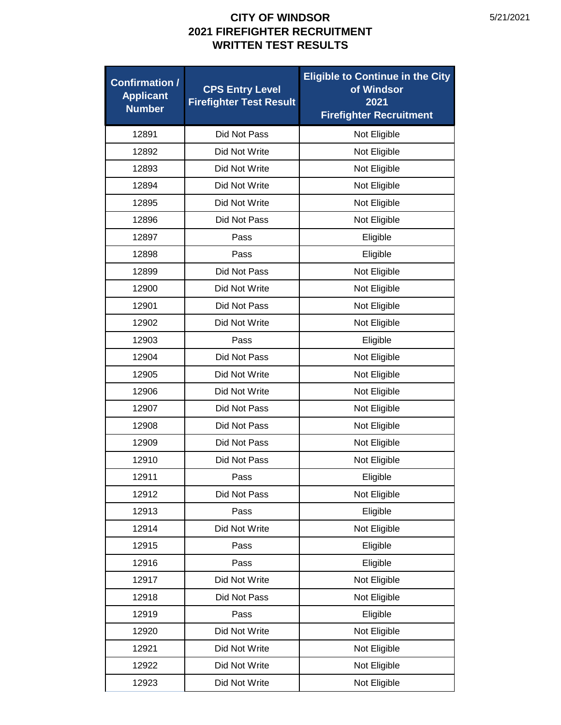| <b>Confirmation /</b><br><b>Applicant</b><br><b>Number</b> | <b>CPS Entry Level</b><br><b>Firefighter Test Result</b> | <b>Eligible to Continue in the City</b><br>of Windsor<br>2021<br><b>Firefighter Recruitment</b> |
|------------------------------------------------------------|----------------------------------------------------------|-------------------------------------------------------------------------------------------------|
| 12891                                                      | Did Not Pass                                             | Not Eligible                                                                                    |
| 12892                                                      | Did Not Write                                            | Not Eligible                                                                                    |
| 12893                                                      | Did Not Write                                            | Not Eligible                                                                                    |
| 12894                                                      | Did Not Write                                            | Not Eligible                                                                                    |
| 12895                                                      | Did Not Write                                            | Not Eligible                                                                                    |
| 12896                                                      | Did Not Pass                                             | Not Eligible                                                                                    |
| 12897                                                      | Pass                                                     | Eligible                                                                                        |
| 12898                                                      | Pass                                                     | Eligible                                                                                        |
| 12899                                                      | Did Not Pass                                             | Not Eligible                                                                                    |
| 12900                                                      | Did Not Write                                            | Not Eligible                                                                                    |
| 12901                                                      | Did Not Pass                                             | Not Eligible                                                                                    |
| 12902                                                      | Did Not Write                                            | Not Eligible                                                                                    |
| 12903                                                      | Pass                                                     | Eligible                                                                                        |
| 12904                                                      | Did Not Pass                                             | Not Eligible                                                                                    |
| 12905                                                      | Did Not Write                                            | Not Eligible                                                                                    |
| 12906                                                      | Did Not Write                                            | Not Eligible                                                                                    |
| 12907                                                      | Did Not Pass                                             | Not Eligible                                                                                    |
| 12908                                                      | Did Not Pass                                             | Not Eligible                                                                                    |
| 12909                                                      | Did Not Pass                                             | Not Eligible                                                                                    |
| 12910                                                      | Did Not Pass                                             | Not Eligible                                                                                    |
| 12911                                                      | Pass                                                     | Eligible                                                                                        |
| 12912                                                      | Did Not Pass                                             | Not Eligible                                                                                    |
| 12913                                                      | Pass                                                     | Eligible                                                                                        |
| 12914                                                      | Did Not Write                                            | Not Eligible                                                                                    |
| 12915                                                      | Pass                                                     | Eligible                                                                                        |
| 12916                                                      | Pass                                                     | Eligible                                                                                        |
| 12917                                                      | Did Not Write                                            | Not Eligible                                                                                    |
| 12918                                                      | Did Not Pass                                             | Not Eligible                                                                                    |
| 12919                                                      | Pass                                                     | Eligible                                                                                        |
| 12920                                                      | Did Not Write                                            | Not Eligible                                                                                    |
| 12921                                                      | Did Not Write                                            | Not Eligible                                                                                    |
| 12922                                                      | Did Not Write                                            | Not Eligible                                                                                    |
| 12923                                                      | Did Not Write                                            | Not Eligible                                                                                    |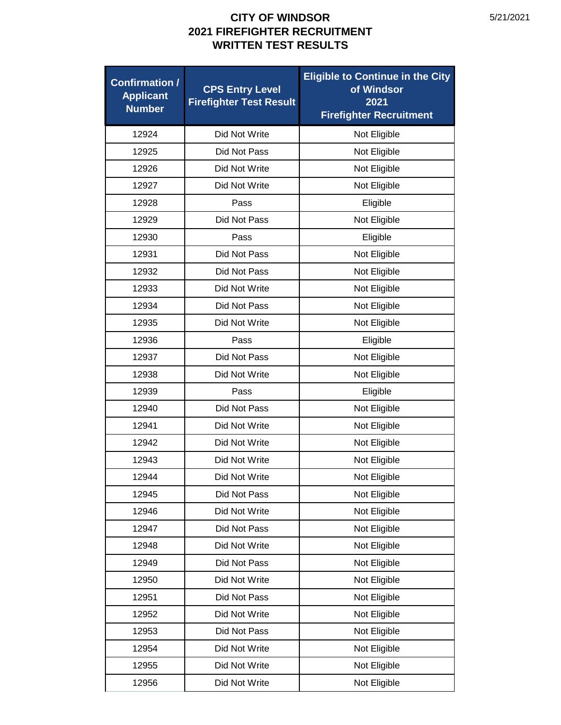| <b>Confirmation /</b><br><b>Applicant</b><br><b>Number</b> | <b>CPS Entry Level</b><br><b>Firefighter Test Result</b> | <b>Eligible to Continue in the City</b><br>of Windsor<br>2021<br><b>Firefighter Recruitment</b> |
|------------------------------------------------------------|----------------------------------------------------------|-------------------------------------------------------------------------------------------------|
| 12924                                                      | Did Not Write                                            | Not Eligible                                                                                    |
| 12925                                                      | Did Not Pass                                             | Not Eligible                                                                                    |
| 12926                                                      | Did Not Write                                            | Not Eligible                                                                                    |
| 12927                                                      | Did Not Write                                            | Not Eligible                                                                                    |
| 12928                                                      | Pass                                                     | Eligible                                                                                        |
| 12929                                                      | Did Not Pass                                             | Not Eligible                                                                                    |
| 12930                                                      | Pass                                                     | Eligible                                                                                        |
| 12931                                                      | Did Not Pass                                             | Not Eligible                                                                                    |
| 12932                                                      | Did Not Pass                                             | Not Eligible                                                                                    |
| 12933                                                      | Did Not Write                                            | Not Eligible                                                                                    |
| 12934                                                      | Did Not Pass                                             | Not Eligible                                                                                    |
| 12935                                                      | Did Not Write                                            | Not Eligible                                                                                    |
| 12936                                                      | Pass                                                     | Eligible                                                                                        |
| 12937                                                      | Did Not Pass                                             | Not Eligible                                                                                    |
| 12938                                                      | Did Not Write                                            | Not Eligible                                                                                    |
| 12939                                                      | Pass                                                     | Eligible                                                                                        |
| 12940                                                      | Did Not Pass                                             | Not Eligible                                                                                    |
| 12941                                                      | Did Not Write                                            | Not Eligible                                                                                    |
| 12942                                                      | Did Not Write                                            | Not Eligible                                                                                    |
| 12943                                                      | Did Not Write                                            | Not Eligible                                                                                    |
| 12944                                                      | Did Not Write                                            | Not Eligible                                                                                    |
| 12945                                                      | Did Not Pass                                             | Not Eligible                                                                                    |
| 12946                                                      | Did Not Write                                            | Not Eligible                                                                                    |
| 12947                                                      | Did Not Pass                                             | Not Eligible                                                                                    |
| 12948                                                      | Did Not Write                                            | Not Eligible                                                                                    |
| 12949                                                      | Did Not Pass                                             | Not Eligible                                                                                    |
| 12950                                                      | Did Not Write                                            | Not Eligible                                                                                    |
| 12951                                                      | Did Not Pass                                             | Not Eligible                                                                                    |
| 12952                                                      | Did Not Write                                            | Not Eligible                                                                                    |
| 12953                                                      | Did Not Pass                                             | Not Eligible                                                                                    |
| 12954                                                      | Did Not Write                                            | Not Eligible                                                                                    |
| 12955                                                      | Did Not Write                                            | Not Eligible                                                                                    |
| 12956                                                      | Did Not Write                                            | Not Eligible                                                                                    |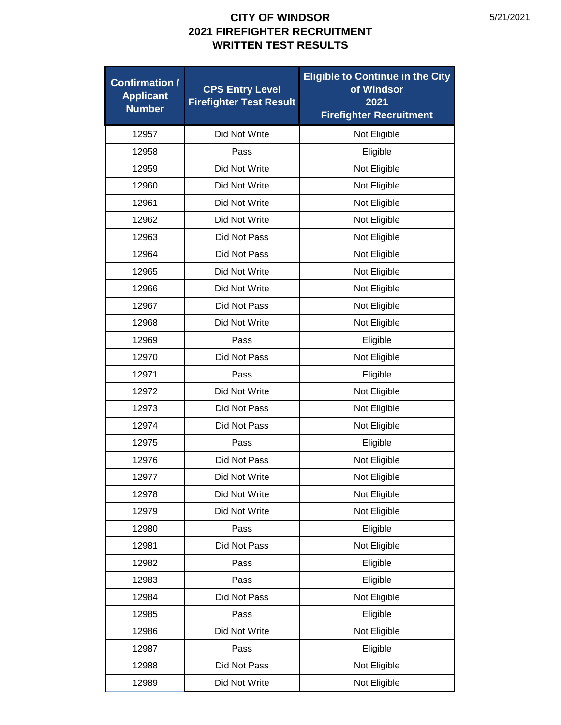| <b>Confirmation /</b><br><b>Applicant</b><br><b>Number</b> | <b>CPS Entry Level</b><br><b>Firefighter Test Result</b> | <b>Eligible to Continue in the City</b><br>of Windsor<br>2021<br><b>Firefighter Recruitment</b> |
|------------------------------------------------------------|----------------------------------------------------------|-------------------------------------------------------------------------------------------------|
| 12957                                                      | Did Not Write                                            | Not Eligible                                                                                    |
| 12958                                                      | Pass                                                     | Eligible                                                                                        |
| 12959                                                      | Did Not Write                                            | Not Eligible                                                                                    |
| 12960                                                      | Did Not Write                                            | Not Eligible                                                                                    |
| 12961                                                      | Did Not Write                                            | Not Eligible                                                                                    |
| 12962                                                      | Did Not Write                                            | Not Eligible                                                                                    |
| 12963                                                      | Did Not Pass                                             | Not Eligible                                                                                    |
| 12964                                                      | Did Not Pass                                             | Not Eligible                                                                                    |
| 12965                                                      | Did Not Write                                            | Not Eligible                                                                                    |
| 12966                                                      | Did Not Write                                            | Not Eligible                                                                                    |
| 12967                                                      | Did Not Pass                                             | Not Eligible                                                                                    |
| 12968                                                      | Did Not Write                                            | Not Eligible                                                                                    |
| 12969                                                      | Pass                                                     | Eligible                                                                                        |
| 12970                                                      | Did Not Pass                                             | Not Eligible                                                                                    |
| 12971                                                      | Pass                                                     | Eligible                                                                                        |
| 12972                                                      | Did Not Write                                            | Not Eligible                                                                                    |
| 12973                                                      | Did Not Pass                                             | Not Eligible                                                                                    |
| 12974                                                      | Did Not Pass                                             | Not Eligible                                                                                    |
| 12975                                                      | Pass                                                     | Eligible                                                                                        |
| 12976                                                      | Did Not Pass                                             | Not Eligible                                                                                    |
| 12977                                                      | Did Not Write                                            | Not Eligible                                                                                    |
| 12978                                                      | Did Not Write                                            | Not Eligible                                                                                    |
| 12979                                                      | Did Not Write                                            | Not Eligible                                                                                    |
| 12980                                                      | Pass                                                     | Eligible                                                                                        |
| 12981                                                      | Did Not Pass                                             | Not Eligible                                                                                    |
| 12982                                                      | Pass                                                     | Eligible                                                                                        |
| 12983                                                      | Pass                                                     | Eligible                                                                                        |
| 12984                                                      | Did Not Pass                                             | Not Eligible                                                                                    |
| 12985                                                      | Pass                                                     | Eligible                                                                                        |
| 12986                                                      | Did Not Write                                            | Not Eligible                                                                                    |
| 12987                                                      | Pass                                                     | Eligible                                                                                        |
| 12988                                                      | Did Not Pass                                             | Not Eligible                                                                                    |
| 12989                                                      | Did Not Write                                            | Not Eligible                                                                                    |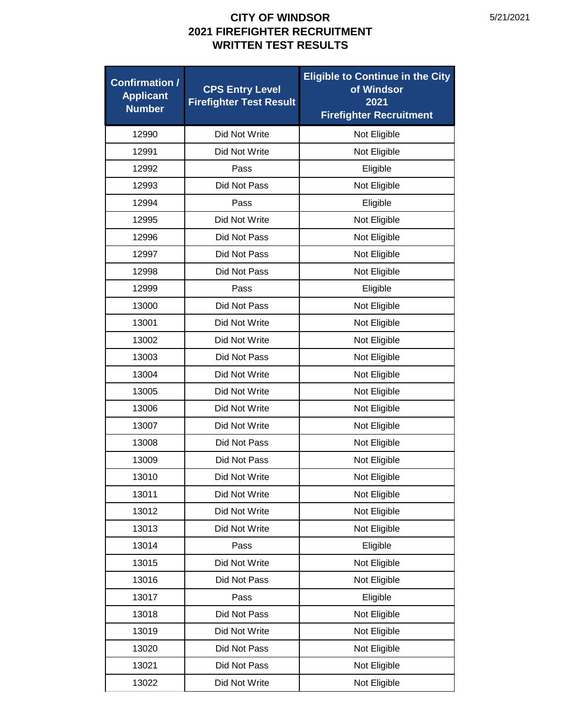| <b>Confirmation /</b><br><b>Applicant</b><br><b>Number</b> | <b>CPS Entry Level</b><br><b>Firefighter Test Result</b> | <b>Eligible to Continue in the City</b><br>of Windsor<br>2021<br><b>Firefighter Recruitment</b> |
|------------------------------------------------------------|----------------------------------------------------------|-------------------------------------------------------------------------------------------------|
| 12990                                                      | Did Not Write                                            | Not Eligible                                                                                    |
| 12991                                                      | Did Not Write                                            | Not Eligible                                                                                    |
| 12992                                                      | Pass                                                     | Eligible                                                                                        |
| 12993                                                      | Did Not Pass                                             | Not Eligible                                                                                    |
| 12994                                                      | Pass                                                     | Eligible                                                                                        |
| 12995                                                      | Did Not Write                                            | Not Eligible                                                                                    |
| 12996                                                      | Did Not Pass                                             | Not Eligible                                                                                    |
| 12997                                                      | Did Not Pass                                             | Not Eligible                                                                                    |
| 12998                                                      | Did Not Pass                                             | Not Eligible                                                                                    |
| 12999                                                      | Pass                                                     | Eligible                                                                                        |
| 13000                                                      | Did Not Pass                                             | Not Eligible                                                                                    |
| 13001                                                      | Did Not Write                                            | Not Eligible                                                                                    |
| 13002                                                      | Did Not Write                                            | Not Eligible                                                                                    |
| 13003                                                      | Did Not Pass                                             | Not Eligible                                                                                    |
| 13004                                                      | Did Not Write                                            | Not Eligible                                                                                    |
| 13005                                                      | Did Not Write                                            | Not Eligible                                                                                    |
| 13006                                                      | Did Not Write                                            | Not Eligible                                                                                    |
| 13007                                                      | Did Not Write                                            | Not Eligible                                                                                    |
| 13008                                                      | Did Not Pass                                             | Not Eligible                                                                                    |
| 13009                                                      | Did Not Pass                                             | Not Eligible                                                                                    |
| 13010                                                      | Did Not Write                                            | Not Eligible                                                                                    |
| 13011                                                      | Did Not Write                                            | Not Eligible                                                                                    |
| 13012                                                      | Did Not Write                                            | Not Eligible                                                                                    |
| 13013                                                      | Did Not Write                                            | Not Eligible                                                                                    |
| 13014                                                      | Pass                                                     | Eligible                                                                                        |
| 13015                                                      | Did Not Write                                            | Not Eligible                                                                                    |
| 13016                                                      | Did Not Pass                                             | Not Eligible                                                                                    |
| 13017                                                      | Pass                                                     | Eligible                                                                                        |
| 13018                                                      | Did Not Pass                                             | Not Eligible                                                                                    |
| 13019                                                      | Did Not Write                                            | Not Eligible                                                                                    |
| 13020                                                      | Did Not Pass                                             | Not Eligible                                                                                    |
| 13021                                                      | Did Not Pass                                             | Not Eligible                                                                                    |
| 13022                                                      | Did Not Write                                            | Not Eligible                                                                                    |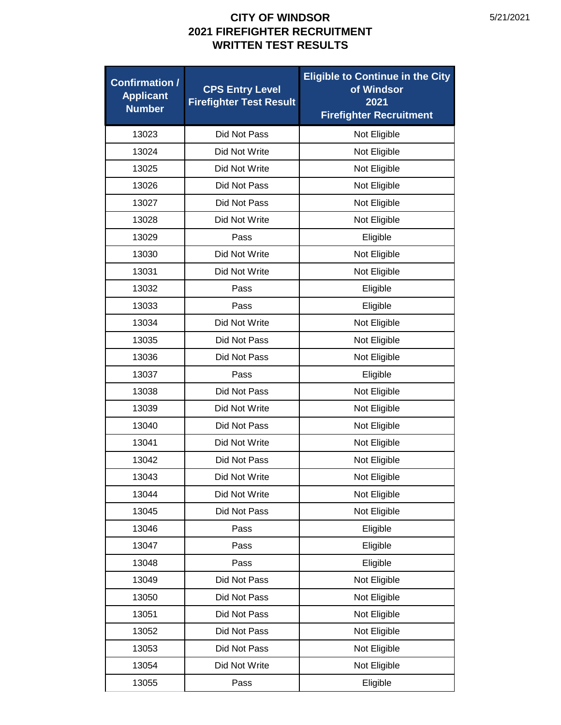| <b>Confirmation /</b><br><b>Applicant</b><br><b>Number</b> | <b>CPS Entry Level</b><br><b>Firefighter Test Result</b> | <b>Eligible to Continue in the City</b><br>of Windsor<br>2021<br><b>Firefighter Recruitment</b> |
|------------------------------------------------------------|----------------------------------------------------------|-------------------------------------------------------------------------------------------------|
| 13023                                                      | Did Not Pass                                             | Not Eligible                                                                                    |
| 13024                                                      | Did Not Write                                            | Not Eligible                                                                                    |
| 13025                                                      | Did Not Write                                            | Not Eligible                                                                                    |
| 13026                                                      | Did Not Pass                                             | Not Eligible                                                                                    |
| 13027                                                      | Did Not Pass                                             | Not Eligible                                                                                    |
| 13028                                                      | Did Not Write                                            | Not Eligible                                                                                    |
| 13029                                                      | Pass                                                     | Eligible                                                                                        |
| 13030                                                      | Did Not Write                                            | Not Eligible                                                                                    |
| 13031                                                      | Did Not Write                                            | Not Eligible                                                                                    |
| 13032                                                      | Pass                                                     | Eligible                                                                                        |
| 13033                                                      | Pass                                                     | Eligible                                                                                        |
| 13034                                                      | Did Not Write                                            | Not Eligible                                                                                    |
| 13035                                                      | Did Not Pass                                             | Not Eligible                                                                                    |
| 13036                                                      | Did Not Pass                                             | Not Eligible                                                                                    |
| 13037                                                      | Pass                                                     | Eligible                                                                                        |
| 13038                                                      | Did Not Pass                                             | Not Eligible                                                                                    |
| 13039                                                      | Did Not Write                                            | Not Eligible                                                                                    |
| 13040                                                      | Did Not Pass                                             | Not Eligible                                                                                    |
| 13041                                                      | Did Not Write                                            | Not Eligible                                                                                    |
| 13042                                                      | Did Not Pass                                             | Not Eligible                                                                                    |
| 13043                                                      | Did Not Write                                            | Not Eligible                                                                                    |
| 13044                                                      | Did Not Write                                            | Not Eligible                                                                                    |
| 13045                                                      | Did Not Pass                                             | Not Eligible                                                                                    |
| 13046                                                      | Pass                                                     | Eligible                                                                                        |
| 13047                                                      | Pass                                                     | Eligible                                                                                        |
| 13048                                                      | Pass                                                     | Eligible                                                                                        |
| 13049                                                      | Did Not Pass                                             | Not Eligible                                                                                    |
| 13050                                                      | Did Not Pass                                             | Not Eligible                                                                                    |
| 13051                                                      | Did Not Pass                                             | Not Eligible                                                                                    |
| 13052                                                      | Did Not Pass                                             | Not Eligible                                                                                    |
| 13053                                                      | Did Not Pass                                             | Not Eligible                                                                                    |
| 13054                                                      | Did Not Write                                            | Not Eligible                                                                                    |
| 13055                                                      | Pass                                                     | Eligible                                                                                        |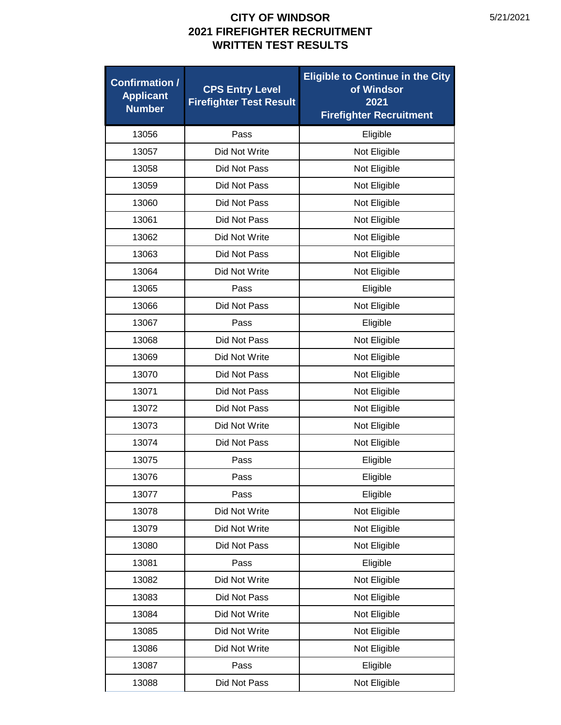| <b>Confirmation /</b><br><b>Applicant</b><br><b>Number</b> | <b>CPS Entry Level</b><br><b>Firefighter Test Result</b> | <b>Eligible to Continue in the City</b><br>of Windsor<br>2021<br><b>Firefighter Recruitment</b> |
|------------------------------------------------------------|----------------------------------------------------------|-------------------------------------------------------------------------------------------------|
| 13056                                                      | Pass                                                     | Eligible                                                                                        |
| 13057                                                      | Did Not Write                                            | Not Eligible                                                                                    |
| 13058                                                      | Did Not Pass                                             | Not Eligible                                                                                    |
| 13059                                                      | Did Not Pass                                             | Not Eligible                                                                                    |
| 13060                                                      | Did Not Pass                                             | Not Eligible                                                                                    |
| 13061                                                      | Did Not Pass                                             | Not Eligible                                                                                    |
| 13062                                                      | Did Not Write                                            | Not Eligible                                                                                    |
| 13063                                                      | Did Not Pass                                             | Not Eligible                                                                                    |
| 13064                                                      | Did Not Write                                            | Not Eligible                                                                                    |
| 13065                                                      | Pass                                                     | Eligible                                                                                        |
| 13066                                                      | Did Not Pass                                             | Not Eligible                                                                                    |
| 13067                                                      | Pass                                                     | Eligible                                                                                        |
| 13068                                                      | Did Not Pass                                             | Not Eligible                                                                                    |
| 13069                                                      | Did Not Write                                            | Not Eligible                                                                                    |
| 13070                                                      | Did Not Pass                                             | Not Eligible                                                                                    |
| 13071                                                      | Did Not Pass                                             | Not Eligible                                                                                    |
| 13072                                                      | Did Not Pass                                             | Not Eligible                                                                                    |
| 13073                                                      | Did Not Write                                            | Not Eligible                                                                                    |
| 13074                                                      | Did Not Pass                                             | Not Eligible                                                                                    |
| 13075                                                      | Pass                                                     | Eligible                                                                                        |
| 13076                                                      | Pass                                                     | Eligible                                                                                        |
| 13077                                                      | Pass                                                     | Eligible                                                                                        |
| 13078                                                      | Did Not Write                                            | Not Eligible                                                                                    |
| 13079                                                      | Did Not Write                                            | Not Eligible                                                                                    |
| 13080                                                      | Did Not Pass                                             | Not Eligible                                                                                    |
| 13081                                                      | Pass                                                     | Eligible                                                                                        |
| 13082                                                      | Did Not Write                                            | Not Eligible                                                                                    |
| 13083                                                      | Did Not Pass                                             | Not Eligible                                                                                    |
| 13084                                                      | Did Not Write                                            | Not Eligible                                                                                    |
| 13085                                                      | Did Not Write                                            | Not Eligible                                                                                    |
| 13086                                                      | Did Not Write                                            | Not Eligible                                                                                    |
| 13087                                                      | Pass                                                     | Eligible                                                                                        |
| 13088                                                      | Did Not Pass                                             | Not Eligible                                                                                    |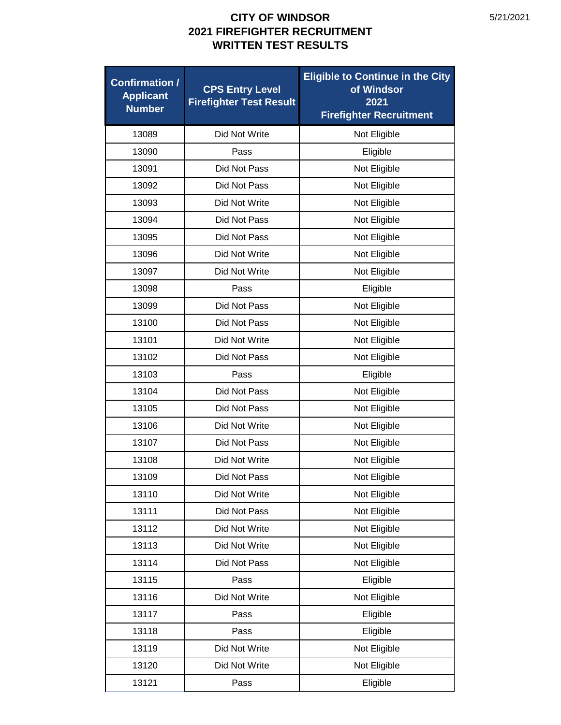| <b>Confirmation /</b><br><b>Applicant</b><br><b>Number</b> | <b>CPS Entry Level</b><br><b>Firefighter Test Result</b> | <b>Eligible to Continue in the City</b><br>of Windsor<br>2021<br><b>Firefighter Recruitment</b> |
|------------------------------------------------------------|----------------------------------------------------------|-------------------------------------------------------------------------------------------------|
| 13089                                                      | Did Not Write                                            | Not Eligible                                                                                    |
| 13090                                                      | Pass                                                     | Eligible                                                                                        |
| 13091                                                      | Did Not Pass                                             | Not Eligible                                                                                    |
| 13092                                                      | Did Not Pass                                             | Not Eligible                                                                                    |
| 13093                                                      | Did Not Write                                            | Not Eligible                                                                                    |
| 13094                                                      | Did Not Pass                                             | Not Eligible                                                                                    |
| 13095                                                      | Did Not Pass                                             | Not Eligible                                                                                    |
| 13096                                                      | Did Not Write                                            | Not Eligible                                                                                    |
| 13097                                                      | Did Not Write                                            | Not Eligible                                                                                    |
| 13098                                                      | Pass                                                     | Eligible                                                                                        |
| 13099                                                      | Did Not Pass                                             | Not Eligible                                                                                    |
| 13100                                                      | Did Not Pass                                             | Not Eligible                                                                                    |
| 13101                                                      | Did Not Write                                            | Not Eligible                                                                                    |
| 13102                                                      | Did Not Pass                                             | Not Eligible                                                                                    |
| 13103                                                      | Pass                                                     | Eligible                                                                                        |
| 13104                                                      | Did Not Pass                                             | Not Eligible                                                                                    |
| 13105                                                      | Did Not Pass                                             | Not Eligible                                                                                    |
| 13106                                                      | Did Not Write                                            | Not Eligible                                                                                    |
| 13107                                                      | Did Not Pass                                             | Not Eligible                                                                                    |
| 13108                                                      | Did Not Write                                            | Not Eligible                                                                                    |
| 13109                                                      | Did Not Pass                                             | Not Eligible                                                                                    |
| 13110                                                      | Did Not Write                                            | Not Eligible                                                                                    |
| 13111                                                      | Did Not Pass                                             | Not Eligible                                                                                    |
| 13112                                                      | Did Not Write                                            | Not Eligible                                                                                    |
| 13113                                                      | Did Not Write                                            | Not Eligible                                                                                    |
| 13114                                                      | Did Not Pass                                             | Not Eligible                                                                                    |
| 13115                                                      | Pass                                                     | Eligible                                                                                        |
| 13116                                                      | Did Not Write                                            | Not Eligible                                                                                    |
| 13117                                                      | Pass                                                     | Eligible                                                                                        |
| 13118                                                      | Pass                                                     | Eligible                                                                                        |
| 13119                                                      | Did Not Write                                            | Not Eligible                                                                                    |
| 13120                                                      | Did Not Write                                            | Not Eligible                                                                                    |
| 13121                                                      | Pass                                                     | Eligible                                                                                        |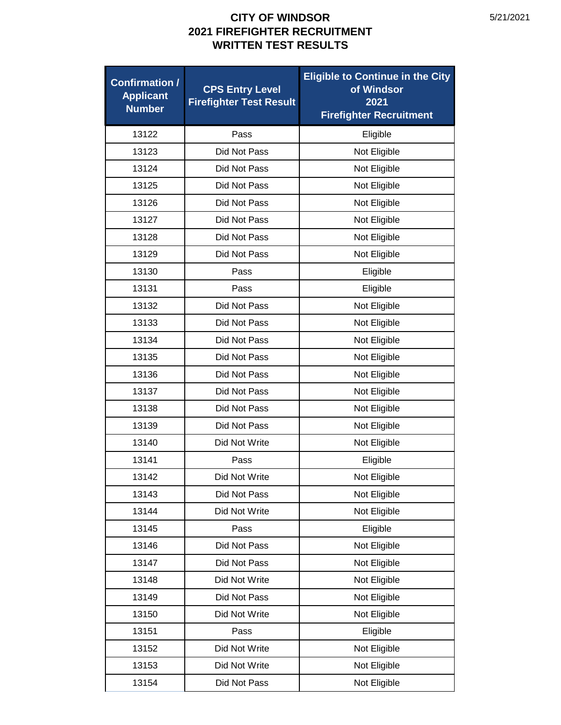| <b>Confirmation /</b><br><b>Applicant</b><br><b>Number</b> | <b>CPS Entry Level</b><br><b>Firefighter Test Result</b> | <b>Eligible to Continue in the City</b><br>of Windsor<br>2021<br><b>Firefighter Recruitment</b> |
|------------------------------------------------------------|----------------------------------------------------------|-------------------------------------------------------------------------------------------------|
| 13122                                                      | Pass                                                     | Eligible                                                                                        |
| 13123                                                      | Did Not Pass                                             | Not Eligible                                                                                    |
| 13124                                                      | Did Not Pass                                             | Not Eligible                                                                                    |
| 13125                                                      | Did Not Pass                                             | Not Eligible                                                                                    |
| 13126                                                      | Did Not Pass                                             | Not Eligible                                                                                    |
| 13127                                                      | Did Not Pass                                             | Not Eligible                                                                                    |
| 13128                                                      | Did Not Pass                                             | Not Eligible                                                                                    |
| 13129                                                      | Did Not Pass                                             | Not Eligible                                                                                    |
| 13130                                                      | Pass                                                     | Eligible                                                                                        |
| 13131                                                      | Pass                                                     | Eligible                                                                                        |
| 13132                                                      | Did Not Pass                                             | Not Eligible                                                                                    |
| 13133                                                      | Did Not Pass                                             | Not Eligible                                                                                    |
| 13134                                                      | Did Not Pass                                             | Not Eligible                                                                                    |
| 13135                                                      | Did Not Pass                                             | Not Eligible                                                                                    |
| 13136                                                      | Did Not Pass                                             | Not Eligible                                                                                    |
| 13137                                                      | Did Not Pass                                             | Not Eligible                                                                                    |
| 13138                                                      | Did Not Pass                                             | Not Eligible                                                                                    |
| 13139                                                      | Did Not Pass                                             | Not Eligible                                                                                    |
| 13140                                                      | Did Not Write                                            | Not Eligible                                                                                    |
| 13141                                                      | Pass                                                     | Eligible                                                                                        |
| 13142                                                      | Did Not Write                                            | Not Eligible                                                                                    |
| 13143                                                      | Did Not Pass                                             | Not Eligible                                                                                    |
| 13144                                                      | Did Not Write                                            | Not Eligible                                                                                    |
| 13145                                                      | Pass                                                     | Eligible                                                                                        |
| 13146                                                      | Did Not Pass                                             | Not Eligible                                                                                    |
| 13147                                                      | Did Not Pass                                             | Not Eligible                                                                                    |
| 13148                                                      | Did Not Write                                            | Not Eligible                                                                                    |
| 13149                                                      | Did Not Pass                                             | Not Eligible                                                                                    |
| 13150                                                      | Did Not Write                                            | Not Eligible                                                                                    |
| 13151                                                      | Pass                                                     | Eligible                                                                                        |
| 13152                                                      | Did Not Write                                            | Not Eligible                                                                                    |
| 13153                                                      | Did Not Write                                            | Not Eligible                                                                                    |
| 13154                                                      | Did Not Pass                                             | Not Eligible                                                                                    |